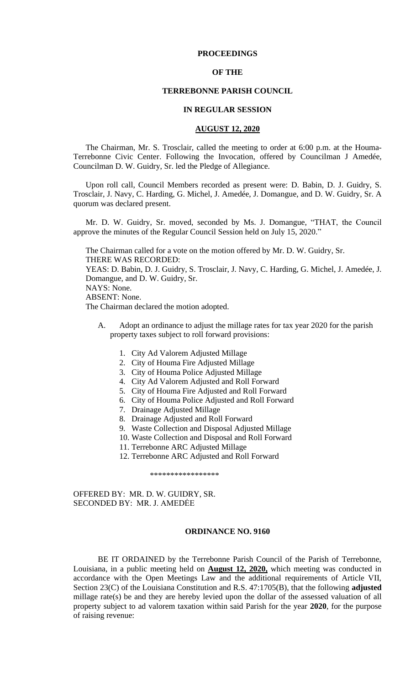# **PROCEEDINGS**

# **OF THE**

## **TERREBONNE PARISH COUNCIL**

#### **IN REGULAR SESSION**

## **AUGUST 12, 2020**

The Chairman, Mr. S. Trosclair, called the meeting to order at 6:00 p.m. at the Houma-Terrebonne Civic Center. Following the Invocation, offered by Councilman J Amedée, Councilman D. W. Guidry, Sr. led the Pledge of Allegiance.

Upon roll call, Council Members recorded as present were: D. Babin, D. J. Guidry, S. Trosclair, J. Navy, C. Harding, G. Michel, J. Amedée, J. Domangue, and D. W. Guidry, Sr. A quorum was declared present.

Mr. D. W. Guidry, Sr. moved, seconded by Ms. J. Domangue, "THAT, the Council approve the minutes of the Regular Council Session held on July 15, 2020."

The Chairman called for a vote on the motion offered by Mr. D. W. Guidry, Sr. THERE WAS RECORDED: YEAS: D. Babin, D. J. Guidry, S. Trosclair, J. Navy, C. Harding, G. Michel, J. Amedée, J. Domangue, and D. W. Guidry, Sr.

NAYS: None.

ABSENT: None.

The Chairman declared the motion adopted.

- Adopt an ordinance to adjust the millage rates for tax year 2020 for the parish property taxes subject to roll forward provisions:
	- 1. City Ad Valorem Adjusted Millage
	- 2. City of Houma Fire Adjusted Millage
	- 3. City of Houma Police Adjusted Millage
	- 4. City Ad Valorem Adjusted and Roll Forward
	- 5. City of Houma Fire Adjusted and Roll Forward
	- 6. City of Houma Police Adjusted and Roll Forward
	- 7. Drainage Adjusted Millage
	- 8. Drainage Adjusted and Roll Forward
	- 9. Waste Collection and Disposal Adjusted Millage
	- 10. Waste Collection and Disposal and Roll Forward
	- 11. Terrebonne ARC Adjusted Millage
	- 12. Terrebonne ARC Adjusted and Roll Forward

\*\*\*\*\*\*\*\*\*\*\*\*\*\*\*\*\*

OFFERED BY: MR. D. W. GUIDRY, SR. SECONDED BY: MR. J. AMEDĖE

#### **ORDINANCE NO. 9160**

BE IT ORDAINED by the Terrebonne Parish Council of the Parish of Terrebonne, Louisiana, in a public meeting held on **August 12, 2020,** which meeting was conducted in accordance with the Open Meetings Law and the additional requirements of Article VII, Section 23(C) of the Louisiana Constitution and R.S. 47:1705(B), that the following **adjusted** millage rate(s) be and they are hereby levied upon the dollar of the assessed valuation of all property subject to ad valorem taxation within said Parish for the year **2020**, for the purpose of raising revenue: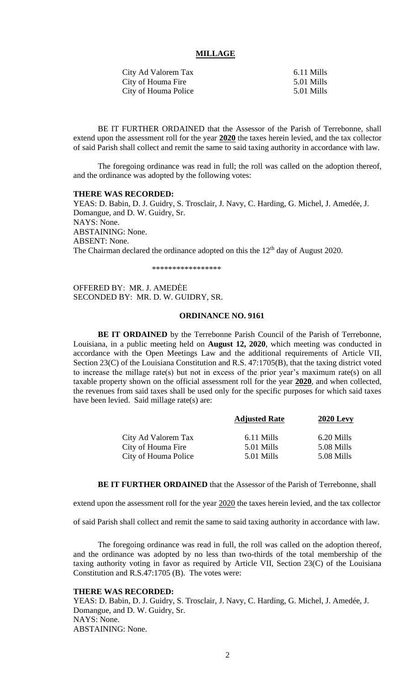#### **MILLAGE**

| City Ad Valorem Tax  | 6.11 Mills |
|----------------------|------------|
| City of Houma Fire   | 5.01 Mills |
| City of Houma Police | 5.01 Mills |

BE IT FURTHER ORDAINED that the Assessor of the Parish of Terrebonne, shall extend upon the assessment roll for the year **2020** the taxes herein levied, and the tax collector of said Parish shall collect and remit the same to said taxing authority in accordance with law.

The foregoing ordinance was read in full; the roll was called on the adoption thereof, and the ordinance was adopted by the following votes:

#### **THERE WAS RECORDED:**

YEAS: D. Babin, D. J. Guidry, S. Trosclair, J. Navy, C. Harding, G. Michel, J. Amedée, J. Domangue, and D. W. Guidry, Sr. NAYS: None. ABSTAINING: None. ABSENT: None. The Chairman declared the ordinance adopted on this the  $12<sup>th</sup>$  day of August 2020.

\*\*\*\*\*\*\*\*\*\*\*\*\*\*\*\*\*

OFFERED BY: MR. J. AMEDĖE SECONDED BY: MR. D. W. GUIDRY, SR.

## **ORDINANCE NO. 9161**

**BE IT ORDAINED** by the Terrebonne Parish Council of the Parish of Terrebonne, Louisiana, in a public meeting held on **August 12, 2020**, which meeting was conducted in accordance with the Open Meetings Law and the additional requirements of Article VII, Section 23(C) of the Louisiana Constitution and R.S. 47:1705(B), that the taxing district voted to increase the millage rate(s) but not in excess of the prior year's maximum rate(s) on all taxable property shown on the official assessment roll for the year **2020**, and when collected, the revenues from said taxes shall be used only for the specific purposes for which said taxes have been levied. Said millage rate(s) are:

|                      | <b>Adjusted Rate</b> | <b>2020 Levy</b> |
|----------------------|----------------------|------------------|
| City Ad Valorem Tax  | 6.11 Mills           | 6.20 Mills       |
| City of Houma Fire   | 5.01 Mills           | 5.08 Mills       |
| City of Houma Police | 5.01 Mills           | 5.08 Mills       |

**BE IT FURTHER ORDAINED** that the Assessor of the Parish of Terrebonne, shall

extend upon the assessment roll for the year 2020 the taxes herein levied, and the tax collector

of said Parish shall collect and remit the same to said taxing authority in accordance with law.

The foregoing ordinance was read in full, the roll was called on the adoption thereof, and the ordinance was adopted by no less than two-thirds of the total membership of the taxing authority voting in favor as required by Article VII, Section 23(C) of the Louisiana Constitution and R.S.47:1705 (B). The votes were:

# **THERE WAS RECORDED:**

YEAS: D. Babin, D. J. Guidry, S. Trosclair, J. Navy, C. Harding, G. Michel, J. Amedée, J. Domangue, and D. W. Guidry, Sr. NAYS: None. ABSTAINING: None.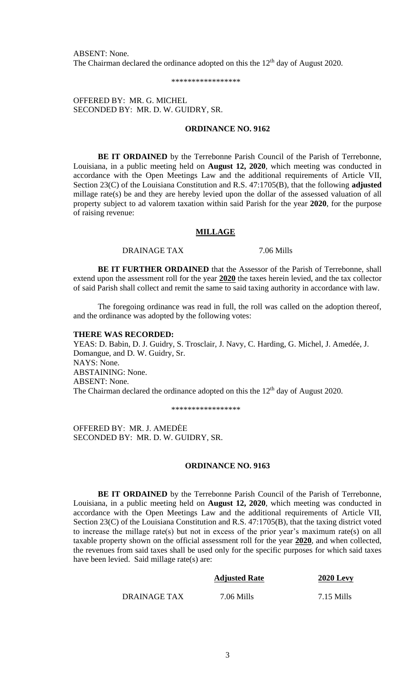ABSENT: None. The Chairman declared the ordinance adopted on this the  $12<sup>th</sup>$  day of August 2020.

\*\*\*\*\*\*\*\*\*\*\*\*\*\*\*\*\*

OFFERED BY: MR. G. MICHEL SECONDED BY: MR. D. W. GUIDRY, SR.

# **ORDINANCE NO. 9162**

**BE IT ORDAINED** by the Terrebonne Parish Council of the Parish of Terrebonne, Louisiana, in a public meeting held on **August 12, 2020**, which meeting was conducted in accordance with the Open Meetings Law and the additional requirements of Article VII, Section 23(C) of the Louisiana Constitution and R.S. 47:1705(B), that the following **adjusted** millage rate(s) be and they are hereby levied upon the dollar of the assessed valuation of all property subject to ad valorem taxation within said Parish for the year **2020**, for the purpose of raising revenue:

## **MILLAGE**

DRAINAGE TAX 7.06 Mills

**BE IT FURTHER ORDAINED** that the Assessor of the Parish of Terrebonne, shall extend upon the assessment roll for the year **2020** the taxes herein levied, and the tax collector of said Parish shall collect and remit the same to said taxing authority in accordance with law.

The foregoing ordinance was read in full, the roll was called on the adoption thereof, and the ordinance was adopted by the following votes:

#### **THERE WAS RECORDED:**

YEAS: D. Babin, D. J. Guidry, S. Trosclair, J. Navy, C. Harding, G. Michel, J. Amedée, J. Domangue, and D. W. Guidry, Sr. NAYS: None. ABSTAINING: None. ABSENT: None. The Chairman declared the ordinance adopted on this the  $12<sup>th</sup>$  day of August 2020.

\*\*\*\*\*\*\*\*\*\*\*\*\*\*\*\*\*

OFFERED BY: MR. J. AMEDĖE SECONDED BY: MR. D. W. GUIDRY, SR.

## **ORDINANCE NO. 9163**

**BE IT ORDAINED** by the Terrebonne Parish Council of the Parish of Terrebonne, Louisiana, in a public meeting held on **August 12, 2020**, which meeting was conducted in accordance with the Open Meetings Law and the additional requirements of Article VII, Section 23(C) of the Louisiana Constitution and R.S. 47:1705(B), that the taxing district voted to increase the millage rate(s) but not in excess of the prior year's maximum rate(s) on all taxable property shown on the official assessment roll for the year **2020**, and when collected, the revenues from said taxes shall be used only for the specific purposes for which said taxes have been levied. Said millage rate(s) are:

|              | <b>Adjusted Rate</b> | <b>2020 Levy</b> |
|--------------|----------------------|------------------|
| DRAINAGE TAX | 7.06 Mills           | $7.15$ Mills     |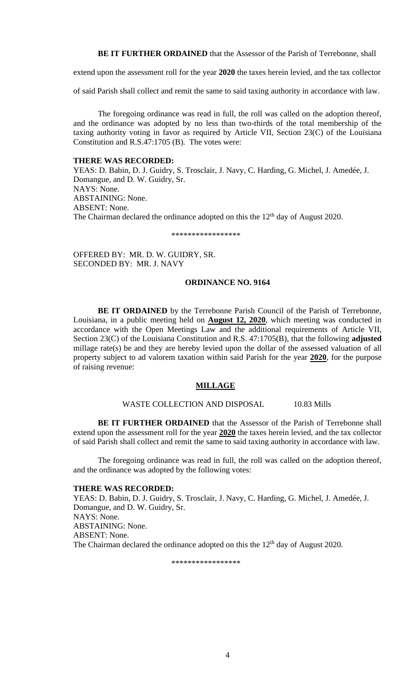**BE IT FURTHER ORDAINED** that the Assessor of the Parish of Terrebonne, shall

extend upon the assessment roll for the year **2020** the taxes herein levied, and the tax collector

of said Parish shall collect and remit the same to said taxing authority in accordance with law.

The foregoing ordinance was read in full, the roll was called on the adoption thereof, and the ordinance was adopted by no less than two-thirds of the total membership of the taxing authority voting in favor as required by Article VII, Section 23(C) of the Louisiana Constitution and R.S.47:1705 (B). The votes were:

# **THERE WAS RECORDED:**

YEAS: D. Babin, D. J. Guidry, S. Trosclair, J. Navy, C. Harding, G. Michel, J. Amedée, J. Domangue, and D. W. Guidry, Sr. NAYS: None. ABSTAINING: None. ABSENT: None. The Chairman declared the ordinance adopted on this the 12<sup>th</sup> day of August 2020.

\*\*\*\*\*\*\*\*\*\*\*\*\*\*\*\*\*

OFFERED BY: MR. D. W. GUIDRY, SR. SECONDED BY: MR. J. NAVY

# **ORDINANCE NO. 9164**

**BE IT ORDAINED** by the Terrebonne Parish Council of the Parish of Terrebonne, Louisiana, in a public meeting held on **August 12, 2020**, which meeting was conducted in accordance with the Open Meetings Law and the additional requirements of Article VII, Section 23(C) of the Louisiana Constitution and R.S. 47:1705(B), that the following **adjusted** millage rate(s) be and they are hereby levied upon the dollar of the assessed valuation of all property subject to ad valorem taxation within said Parish for the year **2020**, for the purpose of raising revenue:

# **MILLAGE**

# WASTE COLLECTION AND DISPOSAL 10.83 Mills

**BE IT FURTHER ORDAINED** that the Assessor of the Parish of Terrebonne shall extend upon the assessment roll for the year **2020** the taxes herein levied, and the tax collector of said Parish shall collect and remit the same to said taxing authority in accordance with law.

The foregoing ordinance was read in full, the roll was called on the adoption thereof, and the ordinance was adopted by the following votes:

## **THERE WAS RECORDED:**

YEAS: D. Babin, D. J. Guidry, S. Trosclair, J. Navy, C. Harding, G. Michel, J. Amedée, J. Domangue, and D. W. Guidry, Sr. NAYS: None. ABSTAINING: None. ABSENT: None. The Chairman declared the ordinance adopted on this the 12<sup>th</sup> day of August 2020.

\*\*\*\*\*\*\*\*\*\*\*\*\*\*\*\*\*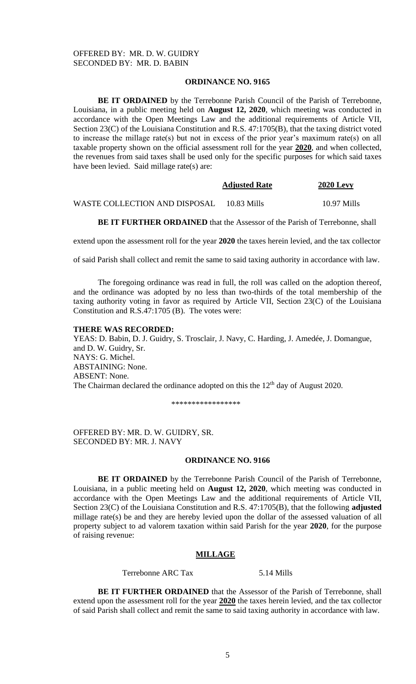# **ORDINANCE NO. 9165**

**BE IT ORDAINED** by the Terrebonne Parish Council of the Parish of Terrebonne, Louisiana, in a public meeting held on **August 12, 2020**, which meeting was conducted in accordance with the Open Meetings Law and the additional requirements of Article VII, Section 23(C) of the Louisiana Constitution and R.S. 47:1705(B), that the taxing district voted to increase the millage rate(s) but not in excess of the prior year's maximum rate(s) on all taxable property shown on the official assessment roll for the year **2020**, and when collected, the revenues from said taxes shall be used only for the specific purposes for which said taxes have been levied. Said millage rate(s) are:

|                               | <b>Adjusted Rate</b> | <b>2020 Levy</b> |
|-------------------------------|----------------------|------------------|
| WASTE COLLECTION AND DISPOSAL | 10.83 Mills          | 10.97 Mills      |

**BE IT FURTHER ORDAINED** that the Assessor of the Parish of Terrebonne, shall

extend upon the assessment roll for the year **2020** the taxes herein levied, and the tax collector

of said Parish shall collect and remit the same to said taxing authority in accordance with law.

The foregoing ordinance was read in full, the roll was called on the adoption thereof, and the ordinance was adopted by no less than two-thirds of the total membership of the taxing authority voting in favor as required by Article VII, Section 23(C) of the Louisiana Constitution and R.S.47:1705 (B). The votes were:

#### **THERE WAS RECORDED:**

YEAS: D. Babin, D. J. Guidry, S. Trosclair, J. Navy, C. Harding, J. Amedée, J. Domangue, and D. W. Guidry, Sr. NAYS: G. Michel. ABSTAINING: None. ABSENT: None. The Chairman declared the ordinance adopted on this the  $12<sup>th</sup>$  day of August 2020.

\*\*\*\*\*\*\*\*\*\*\*\*\*\*\*\*\*

OFFERED BY: MR. D. W. GUIDRY, SR. SECONDED BY: MR. J. NAVY

#### **ORDINANCE NO. 9166**

**BE IT ORDAINED** by the Terrebonne Parish Council of the Parish of Terrebonne, Louisiana, in a public meeting held on **August 12, 2020**, which meeting was conducted in accordance with the Open Meetings Law and the additional requirements of Article VII, Section 23(C) of the Louisiana Constitution and R.S. 47:1705(B), that the following **adjusted** millage rate(s) be and they are hereby levied upon the dollar of the assessed valuation of all property subject to ad valorem taxation within said Parish for the year **2020**, for the purpose of raising revenue:

# **MILLAGE**

Terrebonne ARC Tax 5.14 Mills

**BE IT FURTHER ORDAINED** that the Assessor of the Parish of Terrebonne, shall extend upon the assessment roll for the year **2020** the taxes herein levied, and the tax collector of said Parish shall collect and remit the same to said taxing authority in accordance with law.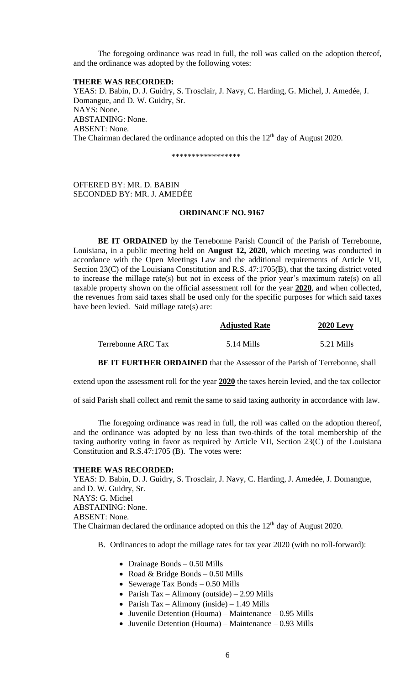The foregoing ordinance was read in full, the roll was called on the adoption thereof, and the ordinance was adopted by the following votes:

#### **THERE WAS RECORDED:**

YEAS: D. Babin, D. J. Guidry, S. Trosclair, J. Navy, C. Harding, G. Michel, J. Amedée, J. Domangue, and D. W. Guidry, Sr. NAYS: None. ABSTAINING: None. ABSENT: None. The Chairman declared the ordinance adopted on this the  $12<sup>th</sup>$  day of August 2020.

\*\*\*\*\*\*\*\*\*\*\*\*\*\*\*\*\*

OFFERED BY: MR. D. BABIN SECONDED BY: MR. J. AMEDÉE

#### **ORDINANCE NO. 9167**

**BE IT ORDAINED** by the Terrebonne Parish Council of the Parish of Terrebonne, Louisiana, in a public meeting held on **August 12, 2020**, which meeting was conducted in accordance with the Open Meetings Law and the additional requirements of Article VII, Section 23(C) of the Louisiana Constitution and R.S. 47:1705(B), that the taxing district voted to increase the millage rate(s) but not in excess of the prior year's maximum rate(s) on all taxable property shown on the official assessment roll for the year **2020**, and when collected, the revenues from said taxes shall be used only for the specific purposes for which said taxes have been levied. Said millage rate(s) are:

|                    | <b>Adjusted Rate</b> | <b>2020 Levy</b> |
|--------------------|----------------------|------------------|
| Terrebonne ARC Tax | 5.14 Mills           | 5.21 Mills       |

**BE IT FURTHER ORDAINED** that the Assessor of the Parish of Terrebonne, shall

extend upon the assessment roll for the year **2020** the taxes herein levied, and the tax collector

of said Parish shall collect and remit the same to said taxing authority in accordance with law.

The foregoing ordinance was read in full, the roll was called on the adoption thereof, and the ordinance was adopted by no less than two-thirds of the total membership of the taxing authority voting in favor as required by Article VII, Section 23(C) of the Louisiana Constitution and R.S.47:1705 (B). The votes were:

#### **THERE WAS RECORDED:**

YEAS: D. Babin, D. J. Guidry, S. Trosclair, J. Navy, C. Harding, J. Amedée, J. Domangue, and D. W. Guidry, Sr. NAYS: G. Michel ABSTAINING: None. ABSENT: None. The Chairman declared the ordinance adopted on this the  $12<sup>th</sup>$  day of August 2020.

- B. Ordinances to adopt the millage rates for tax year 2020 (with no roll-forward):
	- Drainage Bonds 0.50 Mills
	- Road & Bridge Bonds  $-0.50$  Mills
	- Sewerage Tax Bonds 0.50 Mills
	- Parish Tax Alimony (outside) 2.99 Mills
	- Parish Tax Alimony (inside) 1.49 Mills
	- Juvenile Detention (Houma) Maintenance 0.95 Mills
	- Juvenile Detention (Houma) Maintenance 0.93 Mills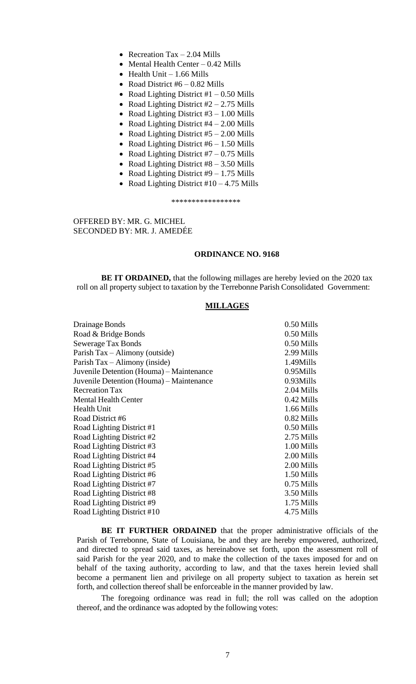- Recreation Tax  $-2.04$  Mills
- Mental Health Center 0.42 Mills
- Health Unit  $-1.66$  Mills
- Road District  $#6 0.82$  Mills
- Road Lighting District  $#1 0.50$  Mills
- Road Lighting District  $#2 2.75$  Mills
- Road Lighting District  $#3 1.00$  Mills
- Road Lighting District #4 2.00 Mills
- Road Lighting District  $#5 2.00$  Mills
- Road Lighting District  $#6 1.50$  Mills
- Road Lighting District  $#7 0.75$  Mills
- Road Lighting District  $#8 3.50$  Mills
- Road Lighting District  $#9 1.75$  Mills
- Road Lighting District  $#10 4.75$  Mills

\*\*\*\*\*\*\*\*\*\*\*\*\*\*\*\*\*

OFFERED BY: MR. G. MICHEL SECONDED BY: MR. J. AMEDÉE

# **ORDINANCE NO. 9168**

**BE IT ORDAINED,** that the following millages are hereby levied on the 2020 tax roll on all property subject to taxation by the Terrebonne Parish Consolidated Government:

# **MILLAGES**

| $0.50$ Mills |
|--------------|
| 0.50 Mills   |
| 0.50 Mills   |
| 2.99 Mills   |
| 1.49Mills    |
| $0.95$ Mills |
| $0.93$ Mills |
| 2.04 Mills   |
| 0.42 Mills   |
| $1.66$ Mills |
| 0.82 Mills   |
| 0.50 Mills   |
| 2.75 Mills   |
| 1.00 Mills   |
| 2.00 Mills   |
| 2.00 Mills   |
| 1.50 Mills   |
| 0.75 Mills   |
| 3.50 Mills   |
| 1.75 Mills   |
| 4.75 Mills   |
|              |

**BE IT FURTHER ORDAINED** that the proper administrative officials of the Parish of Terrebonne, State of Louisiana, be and they are hereby empowered, authorized, and directed to spread said taxes, as hereinabove set forth, upon the assessment roll of said Parish for the year 2020, and to make the collection of the taxes imposed for and on behalf of the taxing authority, according to law, and that the taxes herein levied shall become a permanent lien and privilege on all property subject to taxation as herein set forth, and collection thereof shall be enforceable in the manner provided by law.

The foregoing ordinance was read in full; the roll was called on the adoption thereof, and the ordinance was adopted by the following votes: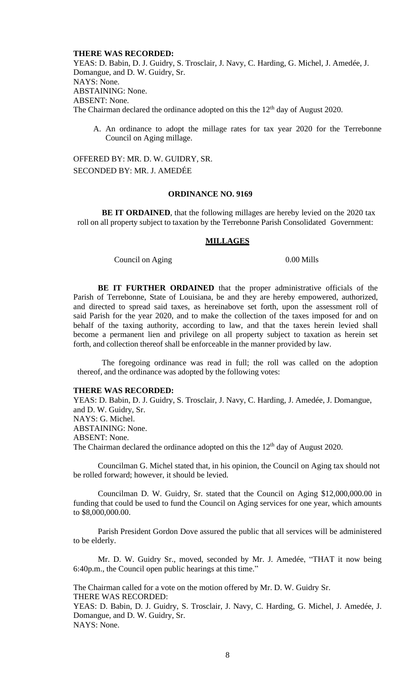## **THERE WAS RECORDED:**

YEAS: D. Babin, D. J. Guidry, S. Trosclair, J. Navy, C. Harding, G. Michel, J. Amedée, J. Domangue, and D. W. Guidry, Sr. NAYS: None. ABSTAINING: None. ABSENT: None. The Chairman declared the ordinance adopted on this the  $12<sup>th</sup>$  day of August 2020.

A. An ordinance to adopt the millage rates for tax year 2020 for the Terrebonne Council on Aging millage.

OFFERED BY: MR. D. W. GUIDRY, SR. SECONDED BY: MR. J. AMEDÉE

#### **ORDINANCE NO. 9169**

**BE IT ORDAINED**, that the following millages are hereby levied on the 2020 tax roll on all property subject to taxation by the Terrebonne Parish Consolidated Government:

### **MILLAGES**

Council on Aging 0.00 Mills

**BE IT FURTHER ORDAINED** that the proper administrative officials of the Parish of Terrebonne, State of Louisiana, be and they are hereby empowered, authorized, and directed to spread said taxes, as hereinabove set forth, upon the assessment roll of said Parish for the year 2020, and to make the collection of the taxes imposed for and on behalf of the taxing authority, according to law, and that the taxes herein levied shall become a permanent lien and privilege on all property subject to taxation as herein set forth, and collection thereof shall be enforceable in the manner provided by law.

The foregoing ordinance was read in full; the roll was called on the adoption thereof, and the ordinance was adopted by the following votes:

# **THERE WAS RECORDED:**

YEAS: D. Babin, D. J. Guidry, S. Trosclair, J. Navy, C. Harding, J. Amedée, J. Domangue, and D. W. Guidry, Sr. NAYS: G. Michel. ABSTAINING: None. ABSENT: None. The Chairman declared the ordinance adopted on this the  $12<sup>th</sup>$  day of August 2020.

Councilman G. Michel stated that, in his opinion, the Council on Aging tax should not be rolled forward; however, it should be levied.

Councilman D. W. Guidry, Sr. stated that the Council on Aging \$12,000,000.00 in funding that could be used to fund the Council on Aging services for one year, which amounts to \$8,000,000.00.

Parish President Gordon Dove assured the public that all services will be administered to be elderly.

Mr. D. W. Guidry Sr., moved, seconded by Mr. J. Amedée, "THAT it now being 6:40p.m., the Council open public hearings at this time."

The Chairman called for a vote on the motion offered by Mr. D. W. Guidry Sr. THERE WAS RECORDED:

YEAS: D. Babin, D. J. Guidry, S. Trosclair, J. Navy, C. Harding, G. Michel, J. Amedée, J. Domangue, and D. W. Guidry, Sr. NAYS: None.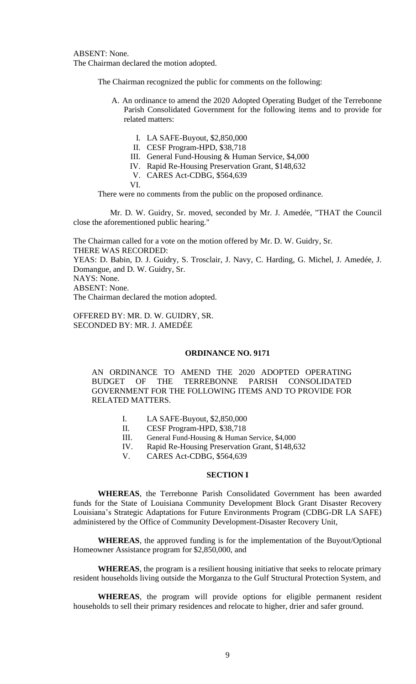ABSENT: None. The Chairman declared the motion adopted.

The Chairman recognized the public for comments on the following:

- A. An ordinance to amend the 2020 Adopted Operating Budget of the Terrebonne Parish Consolidated Government for the following items and to provide for related matters:
	- I. LA SAFE-Buyout, \$2,850,000
	- II. CESF Program-HPD, \$38,718
	- III. General Fund-Housing & Human Service, \$4,000
	- IV. Rapid Re-Housing Preservation Grant, \$148,632
	- V. CARES Act-CDBG, \$564,639

VI.

There were no comments from the public on the proposed ordinance.

Mr. D. W. Guidry, Sr. moved, seconded by Mr. J. Amedée, "THAT the Council close the aforementioned public hearing."

The Chairman called for a vote on the motion offered by Mr. D. W. Guidry, Sr. THERE WAS RECORDED: YEAS: D. Babin, D. J. Guidry, S. Trosclair, J. Navy, C. Harding, G. Michel, J. Amedée, J. Domangue, and D. W. Guidry, Sr. NAYS: None. ABSENT: None. The Chairman declared the motion adopted.

OFFERED BY: MR. D. W. GUIDRY, SR. SECONDED BY: MR. J. AMEDÉE

## **ORDINANCE NO. 9171**

AN ORDINANCE TO AMEND THE 2020 ADOPTED OPERATING BUDGET OF THE TERREBONNE PARISH CONSOLIDATED GOVERNMENT FOR THE FOLLOWING ITEMS AND TO PROVIDE FOR RELATED MATTERS.

- I. LA SAFE-Buyout, \$2,850,000
- II. CESF Program-HPD, \$38,718
- III. General Fund-Housing & Human Service, \$4,000
- IV. Rapid Re-Housing Preservation Grant, \$148,632
- V. CARES Act-CDBG, \$564,639

# **SECTION I**

**WHEREAS**, the Terrebonne Parish Consolidated Government has been awarded funds for the State of Louisiana Community Development Block Grant Disaster Recovery Louisiana's Strategic Adaptations for Future Environments Program (CDBG-DR LA SAFE) administered by the Office of Community Development-Disaster Recovery Unit,

**WHEREAS**, the approved funding is for the implementation of the Buyout/Optional Homeowner Assistance program for \$2,850,000, and

**WHEREAS**, the program is a resilient housing initiative that seeks to relocate primary resident households living outside the Morganza to the Gulf Structural Protection System, and

**WHEREAS**, the program will provide options for eligible permanent resident households to sell their primary residences and relocate to higher, drier and safer ground.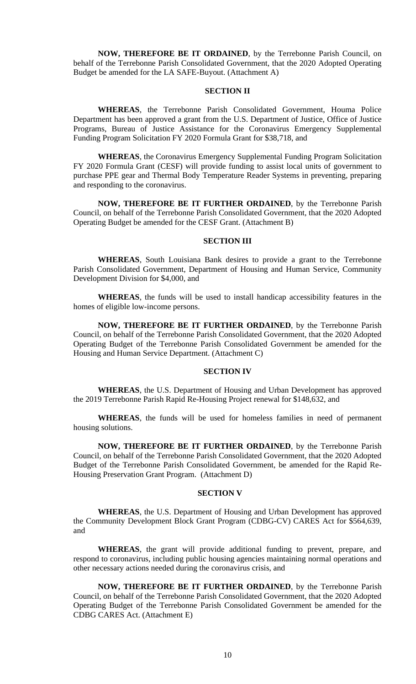**NOW, THEREFORE BE IT ORDAINED**, by the Terrebonne Parish Council, on behalf of the Terrebonne Parish Consolidated Government, that the 2020 Adopted Operating Budget be amended for the LA SAFE-Buyout. (Attachment A)

# **SECTION II**

**WHEREAS**, the Terrebonne Parish Consolidated Government, Houma Police Department has been approved a grant from the U.S. Department of Justice, Office of Justice Programs, Bureau of Justice Assistance for the Coronavirus Emergency Supplemental Funding Program Solicitation FY 2020 Formula Grant for \$38,718, and

**WHEREAS**, the Coronavirus Emergency Supplemental Funding Program Solicitation FY 2020 Formula Grant (CESF) will provide funding to assist local units of government to purchase PPE gear and Thermal Body Temperature Reader Systems in preventing, preparing and responding to the coronavirus.

**NOW, THEREFORE BE IT FURTHER ORDAINED**, by the Terrebonne Parish Council, on behalf of the Terrebonne Parish Consolidated Government, that the 2020 Adopted Operating Budget be amended for the CESF Grant. (Attachment B)

### **SECTION III**

**WHEREAS**, South Louisiana Bank desires to provide a grant to the Terrebonne Parish Consolidated Government, Department of Housing and Human Service, Community Development Division for \$4,000, and

**WHEREAS**, the funds will be used to install handicap accessibility features in the homes of eligible low-income persons.

**NOW, THEREFORE BE IT FURTHER ORDAINED**, by the Terrebonne Parish Council, on behalf of the Terrebonne Parish Consolidated Government, that the 2020 Adopted Operating Budget of the Terrebonne Parish Consolidated Government be amended for the Housing and Human Service Department. (Attachment C)

## **SECTION IV**

**WHEREAS**, the U.S. Department of Housing and Urban Development has approved the 2019 Terrebonne Parish Rapid Re-Housing Project renewal for \$148,632, and

**WHEREAS**, the funds will be used for homeless families in need of permanent housing solutions.

**NOW, THEREFORE BE IT FURTHER ORDAINED**, by the Terrebonne Parish Council, on behalf of the Terrebonne Parish Consolidated Government, that the 2020 Adopted Budget of the Terrebonne Parish Consolidated Government, be amended for the Rapid Re-Housing Preservation Grant Program. (Attachment D)

# **SECTION V**

**WHEREAS**, the U.S. Department of Housing and Urban Development has approved the Community Development Block Grant Program (CDBG-CV) CARES Act for \$564,639, and

**WHEREAS**, the grant will provide additional funding to prevent, prepare, and respond to coronavirus, including public housing agencies maintaining normal operations and other necessary actions needed during the coronavirus crisis, and

**NOW, THEREFORE BE IT FURTHER ORDAINED**, by the Terrebonne Parish Council, on behalf of the Terrebonne Parish Consolidated Government, that the 2020 Adopted Operating Budget of the Terrebonne Parish Consolidated Government be amended for the CDBG CARES Act. (Attachment E)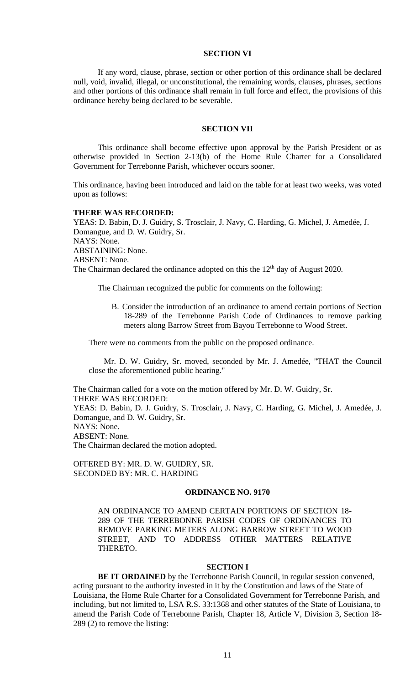# **SECTION VI**

If any word, clause, phrase, section or other portion of this ordinance shall be declared null, void, invalid, illegal, or unconstitutional, the remaining words, clauses, phrases, sections and other portions of this ordinance shall remain in full force and effect, the provisions of this ordinance hereby being declared to be severable.

## **SECTION VII**

This ordinance shall become effective upon approval by the Parish President or as otherwise provided in Section 2-13(b) of the Home Rule Charter for a Consolidated Government for Terrebonne Parish, whichever occurs sooner.

This ordinance, having been introduced and laid on the table for at least two weeks, was voted upon as follows:

#### **THERE WAS RECORDED:**

YEAS: D. Babin, D. J. Guidry, S. Trosclair, J. Navy, C. Harding, G. Michel, J. Amedée, J. Domangue, and D. W. Guidry, Sr. NAYS: None. ABSTAINING: None. ABSENT: None. The Chairman declared the ordinance adopted on this the  $12<sup>th</sup>$  day of August 2020.

The Chairman recognized the public for comments on the following:

B. [Consider the introduction of an ordinance to amend certain portions of Section](https://terrebonneparish.novusagenda.com/AgendaWeb/CoverSheet.aspx?ItemID=26489&MeetingID=1969)  [18-289 of the Terrebonne Parish Code](https://terrebonneparish.novusagenda.com/AgendaWeb/CoverSheet.aspx?ItemID=26489&MeetingID=1969) of Ordinances to remove parking [meters along Barrow Street from Bayou Terrebonne to Wood Street.](https://terrebonneparish.novusagenda.com/AgendaWeb/CoverSheet.aspx?ItemID=26489&MeetingID=1969)

There were no comments from the public on the proposed ordinance.

Mr. D. W. Guidry, Sr. moved, seconded by Mr. J. Amedée, "THAT the Council close the aforementioned public hearing."

The Chairman called for a vote on the motion offered by Mr. D. W. Guidry, Sr. THERE WAS RECORDED: YEAS: D. Babin, D. J. Guidry, S. Trosclair, J. Navy, C. Harding, G. Michel, J. Amedée, J. Domangue, and D. W. Guidry, Sr. NAYS: None. ABSENT: None. The Chairman declared the motion adopted.

OFFERED BY: MR. D. W. GUIDRY, SR. SECONDED BY: MR. C. HARDING

# **ORDINANCE NO. 9170**

AN ORDINANCE TO AMEND CERTAIN PORTIONS OF SECTION 18- 289 OF THE TERREBONNE PARISH CODES OF ORDINANCES TO REMOVE PARKING METERS ALONG BARROW STREET TO WOOD STREET, AND TO ADDRESS OTHER MATTERS RELATIVE THERETO.

#### **SECTION I**

**BE IT ORDAINED** by the Terrebonne Parish Council, in regular session convened, acting pursuant to the authority invested in it by the Constitution and laws of the State of Louisiana, the Home Rule Charter for a Consolidated Government for Terrebonne Parish, and including, but not limited to, LSA R.S. 33:1368 and other statutes of the State of Louisiana, to amend the Parish Code of Terrebonne Parish, Chapter 18, Article V, Division 3, Section 18- 289 (2) to remove the listing: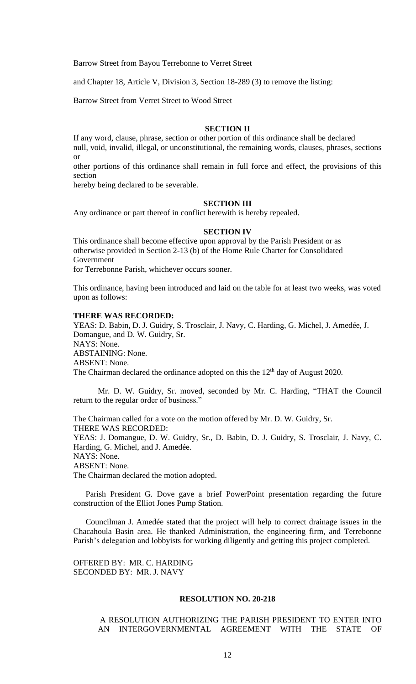Barrow Street from Bayou Terrebonne to Verret Street

and Chapter 18, Article V, Division 3, Section 18-289 (3) to remove the listing:

Barrow Street from Verret Street to Wood Street

# **SECTION II**

If any word, clause, phrase, section or other portion of this ordinance shall be declared null, void, invalid, illegal, or unconstitutional, the remaining words, clauses, phrases, sections or

other portions of this ordinance shall remain in full force and effect, the provisions of this section

hereby being declared to be severable.

#### **SECTION III**

Any ordinance or part thereof in conflict herewith is hereby repealed.

#### **SECTION IV**

This ordinance shall become effective upon approval by the Parish President or as otherwise provided in Section 2-13 (b) of the Home Rule Charter for Consolidated Government

for Terrebonne Parish, whichever occurs sooner.

This ordinance, having been introduced and laid on the table for at least two weeks, was voted upon as follows:

# **THERE WAS RECORDED:**

YEAS: D. Babin, D. J. Guidry, S. Trosclair, J. Navy, C. Harding, G. Michel, J. Amedée, J. Domangue, and D. W. Guidry, Sr. NAYS: None. ABSTAINING: None. ABSENT: None. The Chairman declared the ordinance adopted on this the  $12<sup>th</sup>$  day of August 2020.

Mr. D. W. Guidry, Sr. moved, seconded by Mr. C. Harding, "THAT the Council return to the regular order of business."

The Chairman called for a vote on the motion offered by Mr. D. W. Guidry, Sr. THERE WAS RECORDED: YEAS: J. Domangue, D. W. Guidry, Sr., D. Babin, D. J. Guidry, S. Trosclair, J. Navy, C. Harding, G. Michel, and J. Amedée. NAYS: None. ABSENT: None. The Chairman declared the motion adopted.

Parish President G. Dove gave a brief PowerPoint presentation regarding the future construction of the Elliot Jones Pump Station.

Councilman J. Amedée stated that the project will help to correct drainage issues in the Chacahoula Basin area. He thanked Administration, the engineering firm, and Terrebonne Parish's delegation and lobbyists for working diligently and getting this project completed.

OFFERED BY: MR. C. HARDING SECONDED BY: MR. J. NAVY

#### **RESOLUTION NO. 20-218**

A RESOLUTION AUTHORIZING THE PARISH PRESIDENT TO ENTER INTO AN INTERGOVERNMENTAL AGREEMENT WITH THE STATE OF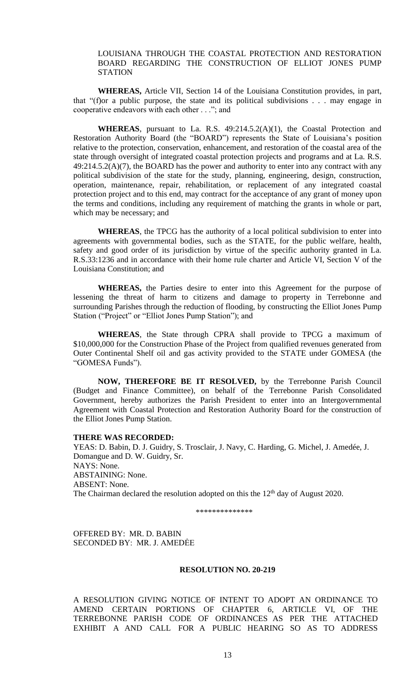# LOUISIANA THROUGH THE COASTAL PROTECTION AND RESTORATION BOARD REGARDING THE CONSTRUCTION OF ELLIOT JONES PUMP **STATION**

**WHEREAS,** Article VII, Section 14 of the Louisiana Constitution provides, in part, that "(f)or a public purpose, the state and its political subdivisions . . . may engage in cooperative endeavors with each other . . ."; and

**WHEREAS**, pursuant to La. R.S. 49:214.5.2(A)(1), the Coastal Protection and Restoration Authority Board (the "BOARD") represents the State of Louisiana's position relative to the protection, conservation, enhancement, and restoration of the coastal area of the state through oversight of integrated coastal protection projects and programs and at La. R.S.  $49:214.5.2(A)(7)$ , the BOARD has the power and authority to enter into any contract with any political subdivision of the state for the study, planning, engineering, design, construction, operation, maintenance, repair, rehabilitation, or replacement of any integrated coastal protection project and to this end, may contract for the acceptance of any grant of money upon the terms and conditions, including any requirement of matching the grants in whole or part, which may be necessary; and

**WHEREAS**, the TPCG has the authority of a local political subdivision to enter into agreements with governmental bodies, such as the STATE, for the public welfare, health, safety and good order of its jurisdiction by virtue of the specific authority granted in La. R.S.33:1236 and in accordance with their home rule charter and Article VI, Section V of the Louisiana Constitution; and

**WHEREAS,** the Parties desire to enter into this Agreement for the purpose of lessening the threat of harm to citizens and damage to property in Terrebonne and surrounding Parishes through the reduction of flooding, by constructing the Elliot Jones Pump Station ("Project" or "Elliot Jones Pump Station"); and

**WHEREAS**, the State through CPRA shall provide to TPCG a maximum of \$10,000,000 for the Construction Phase of the Project from qualified revenues generated from Outer Continental Shelf oil and gas activity provided to the STATE under GOMESA (the "GOMESA Funds").

**NOW, THEREFORE BE IT RESOLVED,** by the Terrebonne Parish Council (Budget and Finance Committee), on behalf of the Terrebonne Parish Consolidated Government, hereby authorizes the Parish President to enter into an Intergovernmental Agreement with Coastal Protection and Restoration Authority Board for the construction of the Elliot Jones Pump Station.

#### **THERE WAS RECORDED:**

YEAS: D. Babin, D. J. Guidry, S. Trosclair, J. Navy, C. Harding, G. Michel, J. Amedée, J. Domangue and D. W. Guidry, Sr. NAYS: None. ABSTAINING: None. ABSENT: None. The Chairman declared the resolution adopted on this the  $12<sup>th</sup>$  day of August 2020.

\*\*\*\*\*\*\*\*\*\*\*\*\*\*

OFFERED BY: MR. D. BABIN SECONDED BY: MR. J. AMEDĖE

#### **RESOLUTION NO. 20-219**

A RESOLUTION GIVING NOTICE OF INTENT TO ADOPT AN ORDINANCE TO AMEND CERTAIN PORTIONS OF CHAPTER 6, ARTICLE VI, OF THE TERREBONNE PARISH CODE OF ORDINANCES AS PER THE ATTACHED EXHIBIT A AND CALL FOR A PUBLIC HEARING SO AS TO ADDRESS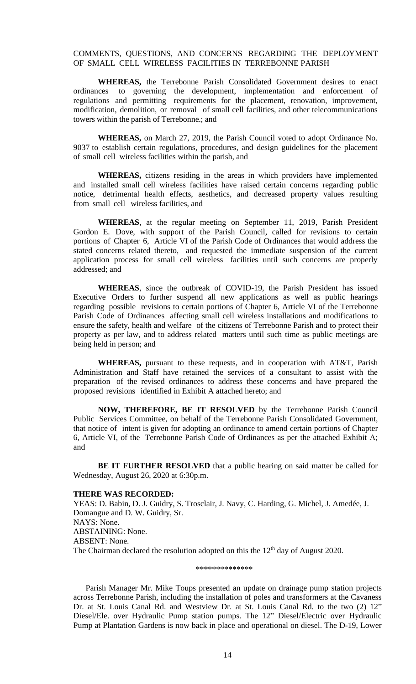# COMMENTS, QUESTIONS, AND CONCERNS REGARDING THE DEPLOYMENT OF SMALL CELL WIRELESS FACILITIES IN TERREBONNE PARISH

**WHEREAS,** the Terrebonne Parish Consolidated Government desires to enact ordinances to governing the development, implementation and enforcement of regulations and permitting requirements for the placement, renovation, improvement, modification, demolition, or removal of small cell facilities, and other telecommunications towers within the parish of Terrebonne.; and

**WHEREAS,** on March 27, 2019, the Parish Council voted to adopt Ordinance No. 9037 to establish certain regulations, procedures, and design guidelines for the placement of small cell wireless facilities within the parish, and

**WHEREAS,** citizens residing in the areas in which providers have implemented and installed small cell wireless facilities have raised certain concerns regarding public notice, detrimental health effects, aesthetics, and decreased property values resulting from small cell wireless facilities, and

**WHEREAS**, at the regular meeting on September 11, 2019, Parish President Gordon E. Dove, with support of the Parish Council, called for revisions to certain portions of Chapter 6, Article VI of the Parish Code of Ordinances that would address the stated concerns related thereto, and requested the immediate suspension of the current application process for small cell wireless facilities until such concerns are properly addressed; and

**WHEREAS**, since the outbreak of COVID-19, the Parish President has issued Executive Orders to further suspend all new applications as well as public hearings regarding possible revisions to certain portions of Chapter 6, Article VI of the Terrebonne Parish Code of Ordinances affecting small cell wireless installations and modifications to ensure the safety, health and welfare of the citizens of Terrebonne Parish and to protect their property as per law, and to address related matters until such time as public meetings are being held in person; and

**WHEREAS,** pursuant to these requests, and in cooperation with AT&T, Parish Administration and Staff have retained the services of a consultant to assist with the preparation of the revised ordinances to address these concerns and have prepared the proposed revisions identified in Exhibit A attached hereto; and

**NOW, THEREFORE, BE IT RESOLVED** by the Terrebonne Parish Council Public Services Committee, on behalf of the Terrebonne Parish Consolidated Government, that notice of intent is given for adopting an ordinance to amend certain portions of Chapter 6, Article VI, of the Terrebonne Parish Code of Ordinances as per the attached Exhibit A; and

**BE IT FURTHER RESOLVED** that a public hearing on said matter be called for Wednesday, August 26, 2020 at 6:30p.m.

#### **THERE WAS RECORDED:**

YEAS: D. Babin, D. J. Guidry, S. Trosclair, J. Navy, C. Harding, G. Michel, J. Amedée, J. Domangue and D. W. Guidry, Sr. NAYS: None. ABSTAINING: None. ABSENT: None. The Chairman declared the resolution adopted on this the  $12<sup>th</sup>$  day of August 2020.

\*\*\*\*\*\*\*\*\*\*\*\*\*\*

Parish Manager Mr. Mike Toups presented an update on drainage pump station projects across Terrebonne Parish, including the installation of poles and transformers at the Cavaness Dr. at St. Louis Canal Rd. and Westview Dr. at St. Louis Canal Rd. to the two (2) 12" Diesel/Ele. over Hydraulic Pump station pumps. The 12" Diesel/Electric over Hydraulic Pump at Plantation Gardens is now back in place and operational on diesel. The D-19, Lower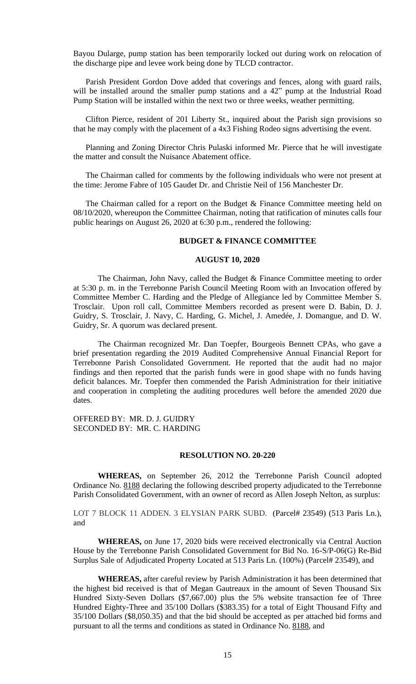Bayou Dularge, pump station has been temporarily locked out during work on relocation of the discharge pipe and levee work being done by TLCD contractor.

Parish President Gordon Dove added that coverings and fences, along with guard rails, will be installed around the smaller pump stations and a 42" pump at the Industrial Road Pump Station will be installed within the next two or three weeks, weather permitting.

Clifton Pierce, resident of 201 Liberty St., inquired about the Parish sign provisions so that he may comply with the placement of a 4x3 Fishing Rodeo signs advertising the event.

Planning and Zoning Director Chris Pulaski informed Mr. Pierce that he will investigate the matter and consult the Nuisance Abatement office.

The Chairman called for comments by the following individuals who were not present at the time: Jerome Fabre of 105 Gaudet Dr. and Christie Neil of 156 Manchester Dr.

The Chairman called for a report on the Budget  $\&$  Finance Committee meeting held on 08/10/2020, whereupon the Committee Chairman, noting that ratification of minutes calls four public hearings on August 26, 2020 at 6:30 p.m., rendered the following:

### **BUDGET & FINANCE COMMITTEE**

## **AUGUST 10, 2020**

The Chairman, John Navy, called the Budget & Finance Committee meeting to order at 5:30 p. m. in the Terrebonne Parish Council Meeting Room with an Invocation offered by Committee Member C. Harding and the Pledge of Allegiance led by Committee Member S. Trosclair. Upon roll call, Committee Members recorded as present were D. Babin, D. J. Guidry, S. Trosclair, J. Navy, C. Harding, G. Michel, J. Amedée, J. Domangue, and D. W. Guidry, Sr. A quorum was declared present.

The Chairman recognized Mr. Dan Toepfer, Bourgeois Bennett CPAs, who gave a brief presentation regarding the 2019 Audited Comprehensive Annual Financial Report for Terrebonne Parish Consolidated Government. He reported that the audit had no major findings and then reported that the parish funds were in good shape with no funds having deficit balances. Mr. Toepfer then commended the Parish Administration for their initiative and cooperation in completing the auditing procedures well before the amended 2020 due dates.

OFFERED BY: MR. D. J. GUIDRY SECONDED BY: MR. C. HARDING

#### **RESOLUTION NO. 20-220**

**WHEREAS,** on September 26, 2012 the Terrebonne Parish Council adopted Ordinance No. 8188 declaring the following described property adjudicated to the Terrebonne Parish Consolidated Government, with an owner of record as Allen Joseph Nelton, as surplus:

LOT 7 BLOCK 11 ADDEN. 3 ELYSIAN PARK SUBD. (Parcel# 23549) (513 Paris Ln.), and

**WHEREAS,** on June 17, 2020 bids were received electronically via Central Auction House by the Terrebonne Parish Consolidated Government for Bid No. 16-S/P-06(G) Re-Bid Surplus Sale of Adjudicated Property Located at 513 Paris Ln. (100%) (Parcel# 23549), and

**WHEREAS,** after careful review by Parish Administration it has been determined that the highest bid received is that of Megan Gautreaux in the amount of Seven Thousand Six Hundred Sixty-Seven Dollars (\$7,667.00) plus the 5% website transaction fee of Three Hundred Eighty-Three and 35/100 Dollars (\$383.35) for a total of Eight Thousand Fifty and 35/100 Dollars (\$8,050.35) and that the bid should be accepted as per attached bid forms and pursuant to all the terms and conditions as stated in Ordinance No. 8188, and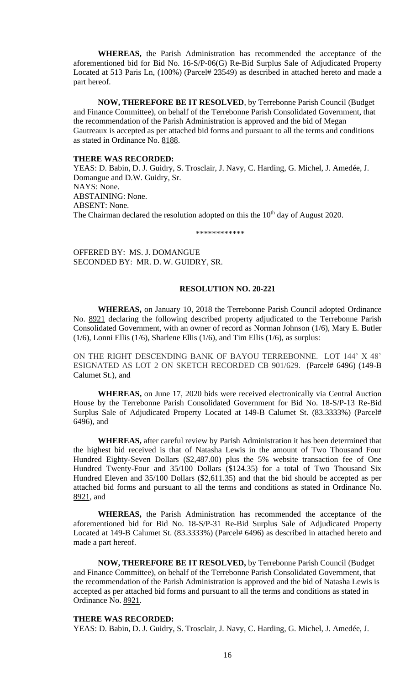**WHEREAS,** the Parish Administration has recommended the acceptance of the aforementioned bid for Bid No. 16-S/P-06(G) Re-Bid Surplus Sale of Adjudicated Property Located at 513 Paris Ln, (100%) (Parcel# 23549) as described in attached hereto and made a part hereof.

**NOW, THEREFORE BE IT RESOLVED**, by Terrebonne Parish Council (Budget and Finance Committee), on behalf of the Terrebonne Parish Consolidated Government, that the recommendation of the Parish Administration is approved and the bid of Megan Gautreaux is accepted as per attached bid forms and pursuant to all the terms and conditions as stated in Ordinance No. 8188.

## **THERE WAS RECORDED:**

YEAS: D. Babin, D. J. Guidry, S. Trosclair, J. Navy, C. Harding, G. Michel, J. Amedée, J. Domangue and D.W. Guidry, Sr. NAYS: None. ABSTAINING: None. ABSENT: None. The Chairman declared the resolution adopted on this the 10<sup>th</sup> day of August 2020.

\*\*\*\*\*\*\*\*\*\*\*\*

OFFERED BY: MS. J. DOMANGUE SECONDED BY: MR. D. W. GUIDRY, SR.

#### **RESOLUTION NO. 20-221**

**WHEREAS,** on January 10, 2018 the Terrebonne Parish Council adopted Ordinance No. 8921 declaring the following described property adjudicated to the Terrebonne Parish Consolidated Government, with an owner of record as Norman Johnson (1/6), Mary E. Butler (1/6), Lonni Ellis (1/6), Sharlene Ellis (1/6), and Tim Ellis (1/6), as surplus:

ON THE RIGHT DESCENDING BANK OF BAYOU TERREBONNE. LOT 144' X 48' ESIGNATED AS LOT 2 ON SKETCH RECORDED CB 901/629. (Parcel# 6496) (149-B Calumet St.), and

**WHEREAS,** on June 17, 2020 bids were received electronically via Central Auction House by the Terrebonne Parish Consolidated Government for Bid No. 18-S/P-13 Re-Bid Surplus Sale of Adjudicated Property Located at 149-B Calumet St. (83.3333%) (Parcel# 6496), and

**WHEREAS,** after careful review by Parish Administration it has been determined that the highest bid received is that of Natasha Lewis in the amount of Two Thousand Four Hundred Eighty-Seven Dollars (\$2,487.00) plus the 5% website transaction fee of One Hundred Twenty-Four and 35/100 Dollars (\$124.35) for a total of Two Thousand Six Hundred Eleven and 35/100 Dollars (\$2,611.35) and that the bid should be accepted as per attached bid forms and pursuant to all the terms and conditions as stated in Ordinance No. 8921, and

**WHEREAS,** the Parish Administration has recommended the acceptance of the aforementioned bid for Bid No. 18-S/P-31 Re-Bid Surplus Sale of Adjudicated Property Located at 149-B Calumet St. (83.3333%) (Parcel# 6496) as described in attached hereto and made a part hereof.

**NOW, THEREFORE BE IT RESOLVED,** by Terrebonne Parish Council (Budget and Finance Committee), on behalf of the Terrebonne Parish Consolidated Government, that the recommendation of the Parish Administration is approved and the bid of Natasha Lewis is accepted as per attached bid forms and pursuant to all the terms and conditions as stated in Ordinance No. 8921.

## **THERE WAS RECORDED:**

YEAS: D. Babin, D. J. Guidry, S. Trosclair, J. Navy, C. Harding, G. Michel, J. Amedée, J.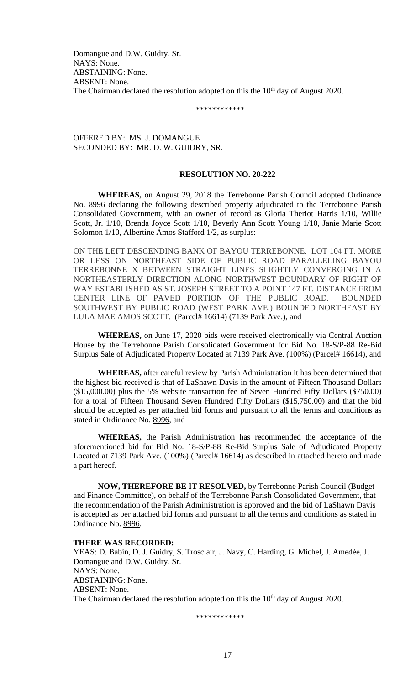Domangue and D.W. Guidry, Sr. NAYS: None. ABSTAINING: None. ABSENT: None. The Chairman declared the resolution adopted on this the 10<sup>th</sup> day of August 2020.

\*\*\*\*\*\*\*\*\*\*\*\*

OFFERED BY: MS. J. DOMANGUE SECONDED BY: MR. D. W. GUIDRY, SR.

# **RESOLUTION NO. 20-222**

**WHEREAS,** on August 29, 2018 the Terrebonne Parish Council adopted Ordinance No. 8996 declaring the following described property adjudicated to the Terrebonne Parish Consolidated Government, with an owner of record as Gloria Theriot Harris 1/10, Willie Scott, Jr. 1/10, Brenda Joyce Scott 1/10, Beverly Ann Scott Young 1/10, Janie Marie Scott Solomon 1/10, Albertine Amos Stafford 1/2, as surplus:

ON THE LEFT DESCENDING BANK OF BAYOU TERREBONNE. LOT 104 FT. MORE OR LESS ON NORTHEAST SIDE OF PUBLIC ROAD PARALLELING BAYOU TERREBONNE X BETWEEN STRAIGHT LINES SLIGHTLY CONVERGING IN A NORTHEASTERLY DIRECTION ALONG NORTHWEST BOUNDARY OF RIGHT OF WAY ESTABLISHED AS ST. JOSEPH STREET TO A POINT 147 FT. DISTANCE FROM CENTER LINE OF PAVED PORTION OF THE PUBLIC ROAD. BOUNDED SOUTHWEST BY PUBLIC ROAD (WEST PARK AVE.) BOUNDED NORTHEAST BY LULA MAE AMOS SCOTT. (Parcel# 16614) (7139 Park Ave.), and

**WHEREAS,** on June 17, 2020 bids were received electronically via Central Auction House by the Terrebonne Parish Consolidated Government for Bid No. 18-S/P-88 Re-Bid Surplus Sale of Adjudicated Property Located at 7139 Park Ave. (100%) (Parcel# 16614), and

**WHEREAS,** after careful review by Parish Administration it has been determined that the highest bid received is that of LaShawn Davis in the amount of Fifteen Thousand Dollars (\$15,000.00) plus the 5% website transaction fee of Seven Hundred Fifty Dollars (\$750.00) for a total of Fifteen Thousand Seven Hundred Fifty Dollars (\$15,750.00) and that the bid should be accepted as per attached bid forms and pursuant to all the terms and conditions as stated in Ordinance No. 8996, and

**WHEREAS,** the Parish Administration has recommended the acceptance of the aforementioned bid for Bid No. 18-S/P-88 Re-Bid Surplus Sale of Adjudicated Property Located at 7139 Park Ave. (100%) (Parcel# 16614) as described in attached hereto and made a part hereof.

**NOW, THEREFORE BE IT RESOLVED,** by Terrebonne Parish Council (Budget and Finance Committee), on behalf of the Terrebonne Parish Consolidated Government, that the recommendation of the Parish Administration is approved and the bid of LaShawn Davis is accepted as per attached bid forms and pursuant to all the terms and conditions as stated in Ordinance No. 8996.

# **THERE WAS RECORDED:**

YEAS: D. Babin, D. J. Guidry, S. Trosclair, J. Navy, C. Harding, G. Michel, J. Amedée, J. Domangue and D.W. Guidry, Sr. NAYS: None. ABSTAINING: None. ABSENT: None. The Chairman declared the resolution adopted on this the 10<sup>th</sup> day of August 2020.

\*\*\*\*\*\*\*\*\*\*\*\*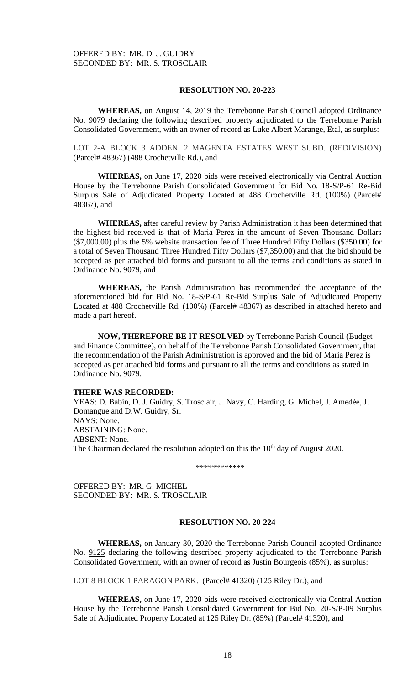## **RESOLUTION NO. 20-223**

**WHEREAS,** on August 14, 2019 the Terrebonne Parish Council adopted Ordinance No. 9079 declaring the following described property adjudicated to the Terrebonne Parish Consolidated Government, with an owner of record as Luke Albert Marange, Etal, as surplus:

LOT 2-A BLOCK 3 ADDEN. 2 MAGENTA ESTATES WEST SUBD. (REDIVISION) (Parcel# 48367) (488 Crochetville Rd.), and

**WHEREAS,** on June 17, 2020 bids were received electronically via Central Auction House by the Terrebonne Parish Consolidated Government for Bid No. 18-S/P-61 Re-Bid Surplus Sale of Adjudicated Property Located at 488 Crochetville Rd. (100%) (Parcel# 48367), and

**WHEREAS,** after careful review by Parish Administration it has been determined that the highest bid received is that of Maria Perez in the amount of Seven Thousand Dollars (\$7,000.00) plus the 5% website transaction fee of Three Hundred Fifty Dollars (\$350.00) for a total of Seven Thousand Three Hundred Fifty Dollars (\$7,350.00) and that the bid should be accepted as per attached bid forms and pursuant to all the terms and conditions as stated in Ordinance No. 9079, and

**WHEREAS,** the Parish Administration has recommended the acceptance of the aforementioned bid for Bid No. 18-S/P-61 Re-Bid Surplus Sale of Adjudicated Property Located at 488 Crochetville Rd. (100%) (Parcel# 48367) as described in attached hereto and made a part hereof.

**NOW, THEREFORE BE IT RESOLVED** by Terrebonne Parish Council (Budget and Finance Committee), on behalf of the Terrebonne Parish Consolidated Government, that the recommendation of the Parish Administration is approved and the bid of Maria Perez is accepted as per attached bid forms and pursuant to all the terms and conditions as stated in Ordinance No. 9079.

## **THERE WAS RECORDED:**

YEAS: D. Babin, D. J. Guidry, S. Trosclair, J. Navy, C. Harding, G. Michel, J. Amedée, J. Domangue and D.W. Guidry, Sr. NAYS: None. ABSTAINING: None. ABSENT: None. The Chairman declared the resolution adopted on this the 10<sup>th</sup> day of August 2020.

\*\*\*\*\*\*\*\*\*\*\*\*

OFFERED BY: MR. G. MICHEL SECONDED BY: MR. S. TROSCLAIR

## **RESOLUTION NO. 20-224**

**WHEREAS,** on January 30, 2020 the Terrebonne Parish Council adopted Ordinance No. 9125 declaring the following described property adjudicated to the Terrebonne Parish Consolidated Government, with an owner of record as Justin Bourgeois (85%), as surplus:

LOT 8 BLOCK 1 PARAGON PARK. (Parcel# 41320) (125 Riley Dr.), and

**WHEREAS,** on June 17, 2020 bids were received electronically via Central Auction House by the Terrebonne Parish Consolidated Government for Bid No. 20-S/P-09 Surplus Sale of Adjudicated Property Located at 125 Riley Dr. (85%) (Parcel# 41320), and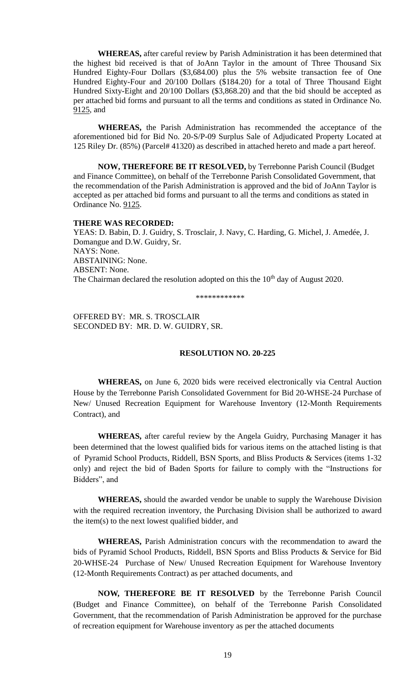**WHEREAS,** after careful review by Parish Administration it has been determined that the highest bid received is that of JoAnn Taylor in the amount of Three Thousand Six Hundred Eighty-Four Dollars (\$3,684.00) plus the 5% website transaction fee of One Hundred Eighty-Four and 20/100 Dollars (\$184.20) for a total of Three Thousand Eight Hundred Sixty-Eight and 20/100 Dollars (\$3,868.20) and that the bid should be accepted as per attached bid forms and pursuant to all the terms and conditions as stated in Ordinance No. 9125, and

**WHEREAS,** the Parish Administration has recommended the acceptance of the aforementioned bid for Bid No. 20-S/P-09 Surplus Sale of Adjudicated Property Located at 125 Riley Dr. (85%) (Parcel# 41320) as described in attached hereto and made a part hereof.

**NOW, THEREFORE BE IT RESOLVED,** by Terrebonne Parish Council (Budget and Finance Committee), on behalf of the Terrebonne Parish Consolidated Government, that the recommendation of the Parish Administration is approved and the bid of JoAnn Taylor is accepted as per attached bid forms and pursuant to all the terms and conditions as stated in Ordinance No. 9125.

## **THERE WAS RECORDED:**

YEAS: D. Babin, D. J. Guidry, S. Trosclair, J. Navy, C. Harding, G. Michel, J. Amedée, J. Domangue and D.W. Guidry, Sr. NAYS: None. ABSTAINING: None. ABSENT: None. The Chairman declared the resolution adopted on this the 10<sup>th</sup> day of August 2020.

\*\*\*\*\*\*\*\*\*\*\*\*

OFFERED BY: MR. S. TROSCLAIR SECONDED BY: MR. D. W. GUIDRY, SR.

#### **RESOLUTION NO. 20-225**

**WHEREAS,** on June 6, 2020 bids were received electronically via Central Auction House by the Terrebonne Parish Consolidated Government for Bid 20-WHSE-24 Purchase of New/ Unused Recreation Equipment for Warehouse Inventory (12-Month Requirements Contract), and

**WHEREAS,** after careful review by the Angela Guidry, Purchasing Manager it has been determined that the lowest qualified bids for various items on the attached listing is that of Pyramid School Products, Riddell, BSN Sports, and Bliss Products & Services (items 1-32 only) and reject the bid of Baden Sports for failure to comply with the "Instructions for Bidders", and

**WHEREAS,** should the awarded vendor be unable to supply the Warehouse Division with the required recreation inventory, the Purchasing Division shall be authorized to award the item(s) to the next lowest qualified bidder, and

**WHEREAS,** Parish Administration concurs with the recommendation to award the bids of Pyramid School Products, Riddell, BSN Sports and Bliss Products & Service for Bid 20-WHSE-24 Purchase of New/ Unused Recreation Equipment for Warehouse Inventory (12-Month Requirements Contract) as per attached documents, and

**NOW, THEREFORE BE IT RESOLVED** by the Terrebonne Parish Council (Budget and Finance Committee), on behalf of the Terrebonne Parish Consolidated Government, that the recommendation of Parish Administration be approved for the purchase of recreation equipment for Warehouse inventory as per the attached documents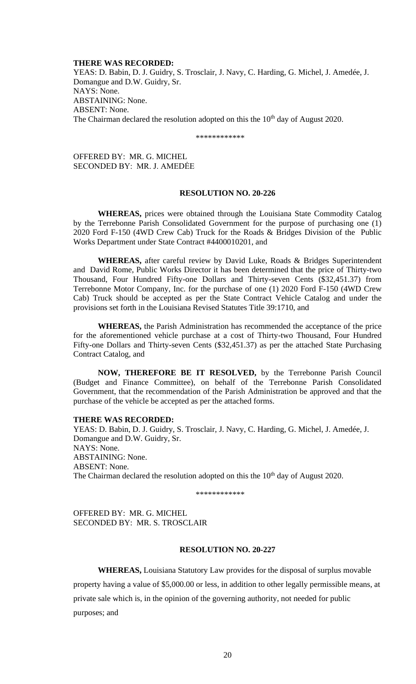#### **THERE WAS RECORDED:**

YEAS: D. Babin, D. J. Guidry, S. Trosclair, J. Navy, C. Harding, G. Michel, J. Amedée, J. Domangue and D.W. Guidry, Sr. NAYS: None. ABSTAINING: None. ABSENT: None. The Chairman declared the resolution adopted on this the  $10<sup>th</sup>$  day of August 2020.

\*\*\*\*\*\*\*\*\*\*\*\*

OFFERED BY: MR. G. MICHEL SECONDED BY: MR. J. AMEDĖE

### **RESOLUTION NO. 20-226**

**WHEREAS,** prices were obtained through the Louisiana State Commodity Catalog by the Terrebonne Parish Consolidated Government for the purpose of purchasing one (1) 2020 Ford F-150 (4WD Crew Cab) Truck for the Roads & Bridges Division of the Public Works Department under State Contract #4400010201, and

**WHEREAS,** after careful review by David Luke, Roads & Bridges Superintendent and David Rome, Public Works Director it has been determined that the price of Thirty-two Thousand, Four Hundred Fifty-one Dollars and Thirty-seven Cents (\$32,451.37) from Terrebonne Motor Company, Inc. for the purchase of one (1) 2020 Ford F-150 (4WD Crew Cab) Truck should be accepted as per the State Contract Vehicle Catalog and under the provisions set forth in the Louisiana Revised Statutes Title 39:1710, and

**WHEREAS,** the Parish Administration has recommended the acceptance of the price for the aforementioned vehicle purchase at a cost of Thirty-two Thousand, Four Hundred Fifty-one Dollars and Thirty-seven Cents (\$32,451.37) as per the attached State Purchasing Contract Catalog, and

**NOW, THEREFORE BE IT RESOLVED,** by the Terrebonne Parish Council (Budget and Finance Committee), on behalf of the Terrebonne Parish Consolidated Government, that the recommendation of the Parish Administration be approved and that the purchase of the vehicle be accepted as per the attached forms.

### **THERE WAS RECORDED:**

YEAS: D. Babin, D. J. Guidry, S. Trosclair, J. Navy, C. Harding, G. Michel, J. Amedée, J. Domangue and D.W. Guidry, Sr. NAYS: None. ABSTAINING: None. ABSENT: None. The Chairman declared the resolution adopted on this the 10<sup>th</sup> day of August 2020.

\*\*\*\*\*\*\*\*\*\*\*\*

OFFERED BY: MR. G. MICHEL SECONDED BY: MR. S. TROSCLAIR

# **RESOLUTION NO. 20-227**

**WHEREAS,** Louisiana Statutory Law provides for the disposal of surplus movable property having a value of \$5,000.00 or less, in addition to other legally permissible means, at private sale which is, in the opinion of the governing authority, not needed for public purposes; and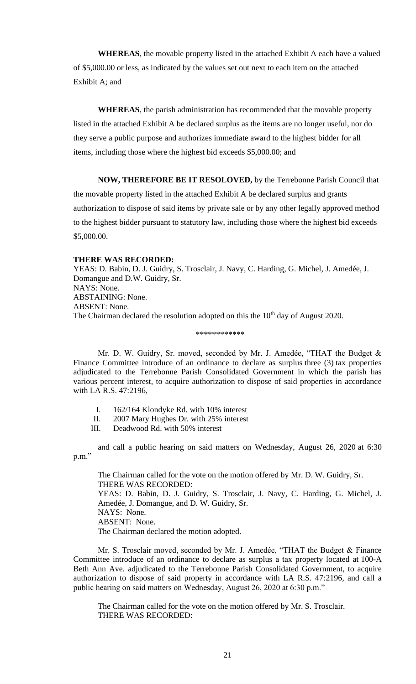**WHEREAS**, the movable property listed in the attached Exhibit A each have a valued of \$5,000.00 or less, as indicated by the values set out next to each item on the attached Exhibit A; and

**WHEREAS**, the parish administration has recommended that the movable property listed in the attached Exhibit A be declared surplus as the items are no longer useful, nor do they serve a public purpose and authorizes immediate award to the highest bidder for all items, including those where the highest bid exceeds \$5,000.00; and

**NOW, THEREFORE BE IT RESOLOVED,** by the Terrebonne Parish Council that the movable property listed in the attached Exhibit A be declared surplus and grants authorization to dispose of said items by private sale or by any other legally approved method to the highest bidder pursuant to statutory law, including those where the highest bid exceeds \$5,000.00.

#### **THERE WAS RECORDED:**

YEAS: D. Babin, D. J. Guidry, S. Trosclair, J. Navy, C. Harding, G. Michel, J. Amedée, J. Domangue and D.W. Guidry, Sr. NAYS: None. ABSTAINING: None. ABSENT: None. The Chairman declared the resolution adopted on this the 10<sup>th</sup> day of August 2020.

#### \*\*\*\*\*\*\*\*\*\*\*\*

Mr. D. W. Guidry, Sr. moved, seconded by Mr. J. Amedée, "THAT the Budget & Finance Committee introduce of an ordinance to declare as surplus three (3) tax properties adjudicated to the Terrebonne Parish Consolidated Government in which the parish has various percent interest, to acquire authorization to dispose of said properties in accordance with LA R.S. 47:2196,

- I. 162/164 Klondyke Rd. with 10% interest
- II. 2007 Mary Hughes Dr. with 25% interest
- III. Deadwood Rd. with 50% interest

and call a public hearing on said matters on Wednesday, August 26, 2020 at 6:30 p.m."

The Chairman called for the vote on the motion offered by Mr. D. W. Guidry, Sr. THERE WAS RECORDED: YEAS: D. Babin, D. J. Guidry, S. Trosclair, J. Navy, C. Harding, G. Michel, J. Amedée, J. Domangue, and D. W. Guidry, Sr. NAYS: None. ABSENT: None. The Chairman declared the motion adopted.

Mr. S. Trosclair moved, seconded by Mr. J. Amedée, "THAT the Budget & Finance Committee introduce of an ordinance to declare as surplus a tax property located at 100-A Beth Ann Ave. adjudicated to the Terrebonne Parish Consolidated Government, to acquire authorization to dispose of said property in accordance with LA R.S. 47:2196, and call a public hearing on said matters on Wednesday, August 26, 2020 at 6:30 p.m."

The Chairman called for the vote on the motion offered by Mr. S. Trosclair. THERE WAS RECORDED: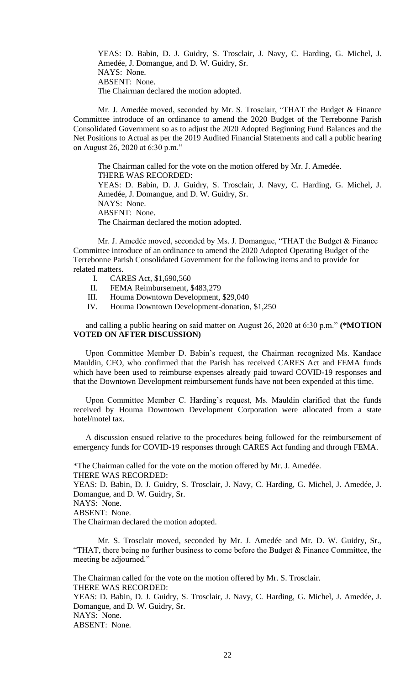YEAS: D. Babin, D. J. Guidry, S. Trosclair, J. Navy, C. Harding, G. Michel, J. Amedée, J. Domangue, and D. W. Guidry, Sr. NAYS: None. ABSENT: None. The Chairman declared the motion adopted.

Mr. J. Amedée moved, seconded by Mr. S. Trosclair, "THAT the Budget & Finance Committee introduce of an ordinance to amend the 2020 Budget of the Terrebonne Parish Consolidated Government so as to adjust the 2020 Adopted Beginning Fund Balances and the Net Positions to Actual as per the 2019 Audited Financial Statements and call a public hearing on August 26, 2020 at 6:30 p.m."

The Chairman called for the vote on the motion offered by Mr. J. Amedée. THERE WAS RECORDED: YEAS: D. Babin, D. J. Guidry, S. Trosclair, J. Navy, C. Harding, G. Michel, J. Amedée, J. Domangue, and D. W. Guidry, Sr. NAYS: None. ABSENT: None. The Chairman declared the motion adopted.

Mr. J. Amedée moved, seconded by Ms. J. Domangue, "THAT the Budget & Finance Committee introduce of an ordinance to amend the 2020 Adopted Operating Budget of the Terrebonne Parish Consolidated Government for the following items and to provide for related matters.

- I. CARES Act, \$1,690,560
- II. FEMA Reimbursement, \$483,279
- III. Houma Downtown Development, \$29,040
- IV. Houma Downtown Development-donation, \$1,250

and calling a public hearing on said matter on August 26, 2020 at 6:30 p.m." **(\*MOTION VOTED ON AFTER DISCUSSION)**

Upon Committee Member D. Babin's request, the Chairman recognized Ms. Kandace Mauldin, CFO, who confirmed that the Parish has received CARES Act and FEMA funds which have been used to reimburse expenses already paid toward COVID-19 responses and that the Downtown Development reimbursement funds have not been expended at this time.

Upon Committee Member C. Harding's request, Ms. Mauldin clarified that the funds received by Houma Downtown Development Corporation were allocated from a state hotel/motel tax.

A discussion ensued relative to the procedures being followed for the reimbursement of emergency funds for COVID-19 responses through CARES Act funding and through FEMA.

\*The Chairman called for the vote on the motion offered by Mr. J. Amedée. THERE WAS RECORDED: YEAS: D. Babin, D. J. Guidry, S. Trosclair, J. Navy, C. Harding, G. Michel, J. Amedée, J. Domangue, and D. W. Guidry, Sr. NAYS: None. ABSENT: None. The Chairman declared the motion adopted.

Mr. S. Trosclair moved, seconded by Mr. J. Amedée and Mr. D. W. Guidry, Sr., "THAT, there being no further business to come before the Budget  $&$  Finance Committee, the meeting be adjourned."

The Chairman called for the vote on the motion offered by Mr. S. Trosclair. THERE WAS RECORDED: YEAS: D. Babin, D. J. Guidry, S. Trosclair, J. Navy, C. Harding, G. Michel, J. Amedée, J. Domangue, and D. W. Guidry, Sr. NAYS: None. ABSENT: None.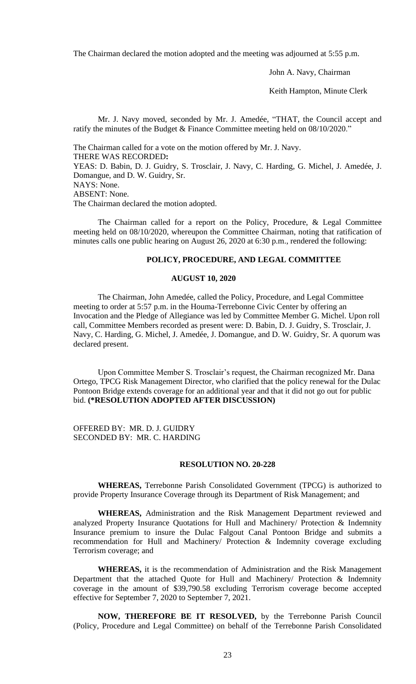The Chairman declared the motion adopted and the meeting was adjourned at 5:55 p.m.

John A. Navy, Chairman

Keith Hampton, Minute Clerk

Mr. J. Navy moved, seconded by Mr. J. Amedée, "THAT, the Council accept and ratify the minutes of the Budget & Finance Committee meeting held on 08/10/2020."

The Chairman called for a vote on the motion offered by Mr. J. Navy. THERE WAS RECORDED**:** YEAS: D. Babin, D. J. Guidry, S. Trosclair, J. Navy, C. Harding, G. Michel, J. Amedée, J. Domangue, and D. W. Guidry, Sr. NAYS: None. ABSENT: None. The Chairman declared the motion adopted.

The Chairman called for a report on the Policy, Procedure, & Legal Committee meeting held on 08/10/2020, whereupon the Committee Chairman, noting that ratification of minutes calls one public hearing on August 26, 2020 at 6:30 p.m., rendered the following:

### **POLICY, PROCEDURE, AND LEGAL COMMITTEE**

## **AUGUST 10, 2020**

The Chairman, John Amedée, called the Policy, Procedure, and Legal Committee meeting to order at 5:57 p.m. in the Houma-Terrebonne Civic Center by offering an Invocation and the Pledge of Allegiance was led by Committee Member G. Michel. Upon roll call, Committee Members recorded as present were: D. Babin, D. J. Guidry, S. Trosclair, J. Navy, C. Harding, G. Michel, J. Amedée, J. Domangue, and D. W. Guidry, Sr. A quorum was declared present.

Upon Committee Member S. Trosclair's request, the Chairman recognized Mr. Dana Ortego, TPCG Risk Management Director, who clarified that the policy renewal for the Dulac Pontoon Bridge extends coverage for an additional year and that it did not go out for public bid. **(\*RESOLUTION ADOPTED AFTER DISCUSSION)**

OFFERED BY: MR. D. J. GUIDRY SECONDED BY: MR. C. HARDING

#### **RESOLUTION NO. 20-228**

**WHEREAS,** Terrebonne Parish Consolidated Government (TPCG) is authorized to provide Property Insurance Coverage through its Department of Risk Management; and

**WHEREAS,** Administration and the Risk Management Department reviewed and analyzed Property Insurance Quotations for Hull and Machinery/ Protection & Indemnity Insurance premium to insure the Dulac Falgout Canal Pontoon Bridge and submits a recommendation for Hull and Machinery/ Protection & Indemnity coverage excluding Terrorism coverage; and

**WHEREAS,** it is the recommendation of Administration and the Risk Management Department that the attached Quote for Hull and Machinery/ Protection & Indemnity coverage in the amount of \$39,790.58 excluding Terrorism coverage become accepted effective for September 7, 2020 to September 7, 2021.

**NOW, THEREFORE BE IT RESOLVED,** by the Terrebonne Parish Council (Policy, Procedure and Legal Committee) on behalf of the Terrebonne Parish Consolidated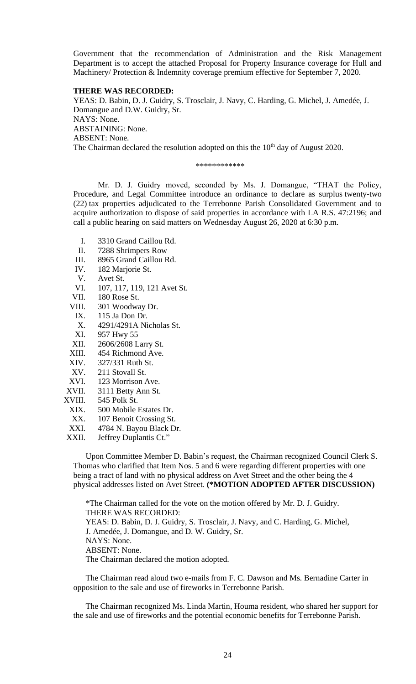Government that the recommendation of Administration and the Risk Management Department is to accept the attached Proposal for Property Insurance coverage for Hull and Machinery/ Protection & Indemnity coverage premium effective for September 7, 2020.

#### **THERE WAS RECORDED:**

YEAS: D. Babin, D. J. Guidry, S. Trosclair, J. Navy, C. Harding, G. Michel, J. Amedée, J. Domangue and D.W. Guidry, Sr. NAYS: None. ABSTAINING: None. ABSENT: None. The Chairman declared the resolution adopted on this the 10<sup>th</sup> day of August 2020.

\*\*\*\*\*\*\*\*\*\*\*\*

Mr. D. J. Guidry moved, seconded by Ms. J. Domangue, "THAT the Policy, Procedure, and Legal Committee introduce an ordinance to declare as surplus twenty-two (22) tax properties adjudicated to the Terrebonne Parish Consolidated Government and to acquire authorization to dispose of said properties in accordance with LA R.S. 47:2196; and call a public hearing on said matters on Wednesday August 26, 2020 at 6:30 p.m.

- I. 3310 Grand Caillou Rd.
- II. 7288 Shrimpers Row
- III. 8965 Grand Caillou Rd.
- IV. 182 Marjorie St.
- V. Avet St.
- VI. 107, 117, 119, 121 Avet St.<br>VII. 180 Rose St.
- 180 Rose St.
- VIII. 301 Woodway Dr.
	- IX. 115 Ja Don Dr.
- X. 4291/4291A Nicholas St.
- XI. 957 Hwy 55
- XII. 2606/2608 Larry St.
- XIII. 454 Richmond Ave.
- XIV. 327/331 Ruth St.
- XV. 211 Stovall St.
- XVI. 123 Morrison Ave.
- XVII. 3111 Betty Ann St.
- XVIII. 545 Polk St.
	- XIX. 500 Mobile Estates Dr.
	- XX. 107 Benoit Crossing St.
	- XXI. 4784 N. Bayou Black Dr.
- XXII. Jeffrey Duplantis Ct."

Upon Committee Member D. Babin's request, the Chairman recognized Council Clerk S. Thomas who clarified that Item Nos. 5 and 6 were regarding different properties with one being a tract of land with no physical address on Avet Street and the other being the 4 physical addresses listed on Avet Street. **(\*MOTION ADOPTED AFTER DISCUSSION)**

\*The Chairman called for the vote on the motion offered by Mr. D. J. Guidry. THERE WAS RECORDED: YEAS: D. Babin, D. J. Guidry, S. Trosclair, J. Navy, and C. Harding, G. Michel, J. Amedée, J. Domangue, and D. W. Guidry, Sr. NAYS: None. ABSENT: None. The Chairman declared the motion adopted.

The Chairman read aloud two e-mails from F. C. Dawson and Ms. Bernadine Carter in opposition to the sale and use of fireworks in Terrebonne Parish.

The Chairman recognized Ms. Linda Martin, Houma resident, who shared her support for the sale and use of fireworks and the potential economic benefits for Terrebonne Parish.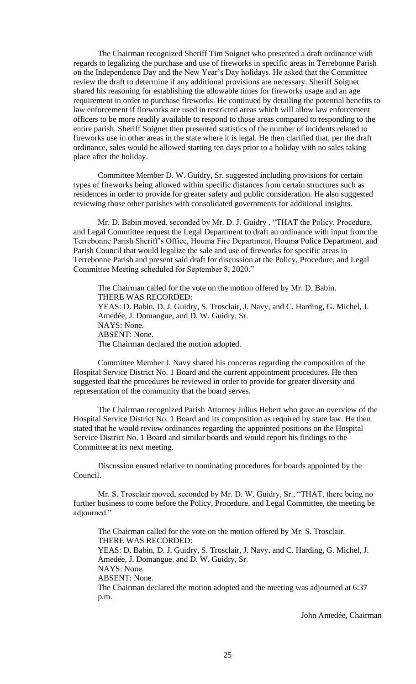The Chairman recognized Sheriff Tim Soignet who presented a draft ordinance with regards to legalizing the purchase and use of fireworks in specific areas in Terrebonne Parish on the Independence Day and the New Year's Day holidays. He asked that the Committee review the draft to determine if any additional provisions are necessary. Sheriff Soignet shared his reasoning for establishing the allowable times for fireworks usage and an age requirement in order to purchase fireworks. He continued by detailing the potential benefits to law enforcement if fireworks are used in restricted areas which will allow law enforcement officers to be more readily available to respond to those areas compared to responding to the entire parish. Sheriff Soignet then presented statistics of the number of incidents related to fireworks use in other areas in the state where it is legal. He then clarified that, per the draft ordinance, sales would be allowed starting ten days prior to a holiday with no sales taking place after the holiday.

Committee Member D. W. Guidry, Sr. suggested including provisions for certain types of fireworks being allowed within specific distances from certain structures such as residences in order to provide for greater safety and public consideration. He also suggested reviewing those other parishes with consolidated governments for additional insights.

Mr. D. Babin moved, seconded by Mr. D. J. Guidry , "THAT the Policy, Procedure, and Legal Committee request the Legal Department to draft an ordinance with input from the Terrebonne Parish Sheriff's Office, Houma Fire Department, Houma Police Department, and Parish Council that would legalize the sale and use of fireworks for specific areas in Terrebonne Parish and present said draft for discussion at the Policy, Procedure, and Legal Committee Meeting scheduled for September 8, 2020."

The Chairman called for the vote on the motion offered by Mr. D. Babin. THERE WAS RECORDED: YEAS: D. Babin, D. J. Guidry, S. Trosclair, J. Navy, and C. Harding, G. Michel, J. Amedée, J. Domangue, and D. W. Guidry, Sr. NAYS: None. ABSENT: None. The Chairman declared the motion adopted.

Committee Member J. Navy shared his concerns regarding the composition of the Hospital Service District No. 1 Board and the current appointment procedures. He then suggested that the procedures be reviewed in order to provide for greater diversity and representation of the community that the board serves.

The Chairman recognized Parish Attorney Julius Hebert who gave an overview of the Hospital Service District No. 1 Board and its composition as required by state law. He then stated that he would review ordinances regarding the appointed positions on the Hospital Service District No. 1 Board and similar boards and would report his findings to the Committee at its next meeting.

Discussion ensued relative to nominating procedures for boards appointed by the Council.

Mr. S. Trosclair moved, seconded by Mr. D. W. Guidry, Sr., "THAT, there being no further business to come before the Policy, Procedure, and Legal Committee, the meeting be adjourned."

The Chairman called for the vote on the motion offered by Mr. S. Trosclair. THERE WAS RECORDED:

YEAS: D. Babin, D. J. Guidry, S. Trosclair, J. Navy, and C. Harding, G. Michel, J. Amedée, J. Domangue, and D. W. Guidry, Sr. NAYS: None.

ABSENT: None.

The Chairman declared the motion adopted and the meeting was adjourned at 6:37 p.m.

John Amedée, Chairman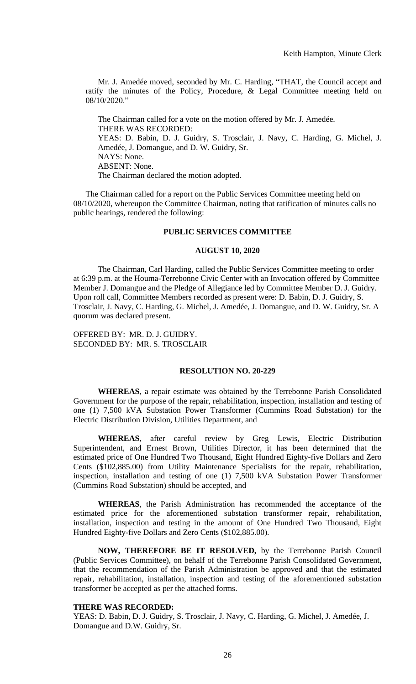Mr. J. Amedée moved, seconded by Mr. C. Harding, "THAT, the Council accept and ratify the minutes of the Policy, Procedure, & Legal Committee meeting held on 08/10/2020."

The Chairman called for a vote on the motion offered by Mr. J. Amedée. THERE WAS RECORDED: YEAS: D. Babin, D. J. Guidry, S. Trosclair, J. Navy, C. Harding, G. Michel, J. Amedée, J. Domangue, and D. W. Guidry, Sr. NAYS: None. ABSENT: None. The Chairman declared the motion adopted.

The Chairman called for a report on the Public Services Committee meeting held on 08/10/2020, whereupon the Committee Chairman, noting that ratification of minutes calls no public hearings, rendered the following:

# **PUBLIC SERVICES COMMITTEE**

#### **AUGUST 10, 2020**

The Chairman, Carl Harding, called the Public Services Committee meeting to order at 6:39 p.m. at the Houma-Terrebonne Civic Center with an Invocation offered by Committee Member J. Domangue and the Pledge of Allegiance led by Committee Member D. J. Guidry. Upon roll call, Committee Members recorded as present were: D. Babin, D. J. Guidry, S. Trosclair, J. Navy, C. Harding, G. Michel, J. Amedée, J. Domangue, and D. W. Guidry, Sr. A quorum was declared present.

OFFERED BY: MR. D. J. GUIDRY. SECONDED BY: MR. S. TROSCLAIR

# **RESOLUTION NO. 20-229**

**WHEREAS**, a repair estimate was obtained by the Terrebonne Parish Consolidated Government for the purpose of the repair, rehabilitation, inspection, installation and testing of one (1) 7,500 kVA Substation Power Transformer (Cummins Road Substation) for the Electric Distribution Division, Utilities Department, and

**WHEREAS**, after careful review by Greg Lewis, Electric Distribution Superintendent, and Ernest Brown, Utilities Director, it has been determined that the estimated price of One Hundred Two Thousand, Eight Hundred Eighty-five Dollars and Zero Cents (\$102,885.00) from Utility Maintenance Specialists for the repair, rehabilitation, inspection, installation and testing of one (1) 7,500 kVA Substation Power Transformer (Cummins Road Substation) should be accepted, and

**WHEREAS**, the Parish Administration has recommended the acceptance of the estimated price for the aforementioned substation transformer repair, rehabilitation, installation, inspection and testing in the amount of One Hundred Two Thousand, Eight Hundred Eighty-five Dollars and Zero Cents (\$102,885.00).

**NOW, THEREFORE BE IT RESOLVED,** by the Terrebonne Parish Council (Public Services Committee), on behalf of the Terrebonne Parish Consolidated Government, that the recommendation of the Parish Administration be approved and that the estimated repair, rehabilitation, installation, inspection and testing of the aforementioned substation transformer be accepted as per the attached forms.

# **THERE WAS RECORDED:**

YEAS: D. Babin, D. J. Guidry, S. Trosclair, J. Navy, C. Harding, G. Michel, J. Amedée, J. Domangue and D.W. Guidry, Sr.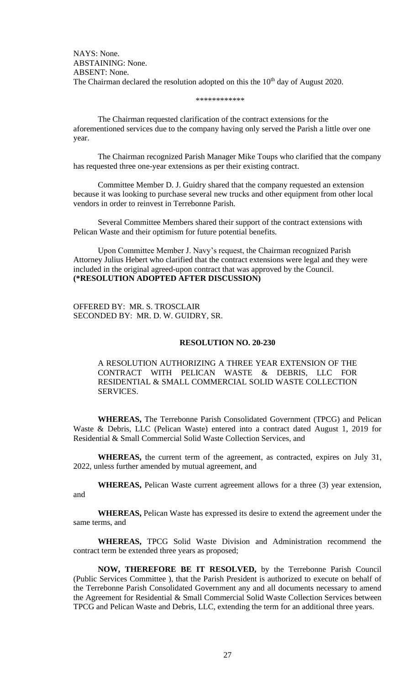NAYS: None. ABSTAINING: None. ABSENT: None. The Chairman declared the resolution adopted on this the 10<sup>th</sup> day of August 2020.

#### \*\*\*\*\*\*\*\*\*\*\*\*

The Chairman requested clarification of the contract extensions for the aforementioned services due to the company having only served the Parish a little over one year.

The Chairman recognized Parish Manager Mike Toups who clarified that the company has requested three one-year extensions as per their existing contract.

Committee Member D. J. Guidry shared that the company requested an extension because it was looking to purchase several new trucks and other equipment from other local vendors in order to reinvest in Terrebonne Parish.

Several Committee Members shared their support of the contract extensions with Pelican Waste and their optimism for future potential benefits.

Upon Committee Member J. Navy's request, the Chairman recognized Parish Attorney Julius Hebert who clarified that the contract extensions were legal and they were included in the original agreed-upon contract that was approved by the Council. **(\*RESOLUTION ADOPTED AFTER DISCUSSION)**

OFFERED BY: MR. S. TROSCLAIR SECONDED BY: MR. D. W. GUIDRY, SR.

### **RESOLUTION NO. 20-230**

A RESOLUTION AUTHORIZING A THREE YEAR EXTENSION OF THE CONTRACT WITH PELICAN WASTE & DEBRIS, LLC FOR RESIDENTIAL & SMALL COMMERCIAL SOLID WASTE COLLECTION SERVICES.

**WHEREAS,** The Terrebonne Parish Consolidated Government (TPCG) and Pelican Waste & Debris, LLC (Pelican Waste) entered into a contract dated August 1, 2019 for Residential & Small Commercial Solid Waste Collection Services, and

**WHEREAS,** the current term of the agreement, as contracted, expires on July 31, 2022, unless further amended by mutual agreement, and

**WHEREAS,** Pelican Waste current agreement allows for a three (3) year extension, and

**WHEREAS,** Pelican Waste has expressed its desire to extend the agreement under the same terms, and

**WHEREAS,** TPCG Solid Waste Division and Administration recommend the contract term be extended three years as proposed;

**NOW, THEREFORE BE IT RESOLVED,** by the Terrebonne Parish Council (Public Services Committee ), that the Parish President is authorized to execute on behalf of the Terrebonne Parish Consolidated Government any and all documents necessary to amend the Agreement for Residential & Small Commercial Solid Waste Collection Services between TPCG and Pelican Waste and Debris, LLC, extending the term for an additional three years.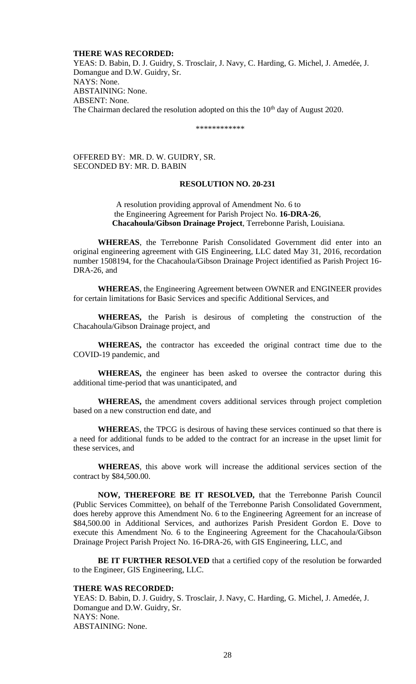## **THERE WAS RECORDED:**

YEAS: D. Babin, D. J. Guidry, S. Trosclair, J. Navy, C. Harding, G. Michel, J. Amedée, J. Domangue and D.W. Guidry, Sr. NAYS: None. ABSTAINING: None. ABSENT: None. The Chairman declared the resolution adopted on this the  $10<sup>th</sup>$  day of August 2020.

\*\*\*\*\*\*\*\*\*\*\*\*

# OFFERED BY: MR. D. W. GUIDRY, SR. SECONDED BY: MR. D. BABIN

### **RESOLUTION NO. 20-231**

 A resolution providing approval of Amendment No. 6 to the Engineering Agreement for Parish Project No. **16-DRA-26**, **Chacahoula/Gibson Drainage Project**, Terrebonne Parish, Louisiana.

**WHEREAS**, the Terrebonne Parish Consolidated Government did enter into an original engineering agreement with GIS Engineering, LLC dated May 31, 2016, recordation number 1508194, for the Chacahoula/Gibson Drainage Project identified as Parish Project 16- DRA-26, and

**WHEREAS**, the Engineering Agreement between OWNER and ENGINEER provides for certain limitations for Basic Services and specific Additional Services, and

**WHEREAS,** the Parish is desirous of completing the construction of the Chacahoula/Gibson Drainage project, and

**WHEREAS,** the contractor has exceeded the original contract time due to the COVID-19 pandemic, and

**WHEREAS,** the engineer has been asked to oversee the contractor during this additional time-period that was unanticipated, and

**WHEREAS,** the amendment covers additional services through project completion based on a new construction end date, and

**WHEREA**S, the TPCG is desirous of having these services continued so that there is a need for additional funds to be added to the contract for an increase in the upset limit for these services, and

**WHEREAS**, this above work will increase the additional services section of the contract by \$84,500.00.

**NOW, THEREFORE BE IT RESOLVED,** that the Terrebonne Parish Council (Public Services Committee), on behalf of the Terrebonne Parish Consolidated Government, does hereby approve this Amendment No. 6 to the Engineering Agreement for an increase of \$84,500.00 in Additional Services, and authorizes Parish President Gordon E. Dove to execute this Amendment No. 6 to the Engineering Agreement for the Chacahoula/Gibson Drainage Project Parish Project No. 16-DRA-26, with GIS Engineering, LLC, and

**BE IT FURTHER RESOLVED** that a certified copy of the resolution be forwarded to the Engineer, GIS Engineering, LLC.

### **THERE WAS RECORDED:**

YEAS: D. Babin, D. J. Guidry, S. Trosclair, J. Navy, C. Harding, G. Michel, J. Amedée, J. Domangue and D.W. Guidry, Sr. NAYS: None. ABSTAINING: None.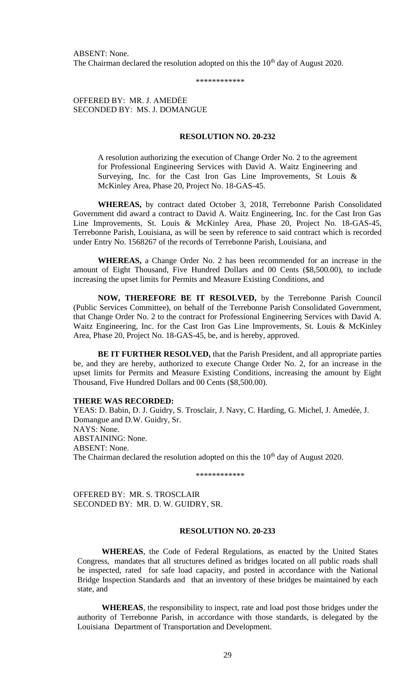ABSENT: None. The Chairman declared the resolution adopted on this the  $10<sup>th</sup>$  day of August 2020.

\*\*\*\*\*\*\*\*\*\*\*\*

OFFERED BY: MR. J. AMEDĖE SECONDED BY: MS. J. DOMANGUE

#### **RESOLUTION NO. 20-232**

A resolution authorizing the execution of Change Order No. 2 to the agreement for Professional Engineering Services with David A. Waitz Engineering and Surveying, Inc. for the Cast Iron Gas Line Improvements, St Louis & McKinley Area, Phase 20, Project No. 18-GAS-45.

 **WHEREAS,** by contract dated October 3, 2018, Terrebonne Parish Consolidated Government did award a contract to David A. Waitz Engineering, Inc. for the Cast Iron Gas Line Improvements, St. Louis & McKinley Area, Phase 20, Project No. 18-GAS-45, Terrebonne Parish, Louisiana, as will be seen by reference to said contract which is recorded under Entry No. 1568267 of the records of Terrebonne Parish, Louisiana, and

 **WHEREAS,** a Change Order No. 2 has been recommended for an increase in the amount of Eight Thousand, Five Hundred Dollars and 00 Cents (\$8,500.00), to include increasing the upset limits for Permits and Measure Existing Conditions, and

 **NOW, THEREFORE BE IT RESOLVED,** by the Terrebonne Parish Council (Public Services Committee), on behalf of the Terrebonne Parish Consolidated Government, that Change Order No. 2 to the contract for Professional Engineering Services with David A. Waitz Engineering, Inc. for the Cast Iron Gas Line Improvements, St. Louis & McKinley Area, Phase 20, Project No. 18-GAS-45, be, and is hereby, approved.

 **BE IT FURTHER RESOLVED,** that the Parish President, and all appropriate parties be, and they are hereby, authorized to execute Change Order No. 2, for an increase in the upset limits for Permits and Measure Existing Conditions, increasing the amount by Eight Thousand, Five Hundred Dollars and 00 Cents (\$8,500.00).

#### **THERE WAS RECORDED:**

YEAS: D. Babin, D. J. Guidry, S. Trosclair, J. Navy, C. Harding, G. Michel, J. Amedée, J. Domangue and D.W. Guidry, Sr. NAYS: None. ABSTAINING: None. ABSENT: None. The Chairman declared the resolution adopted on this the 10<sup>th</sup> day of August 2020.

\*\*\*\*\*\*\*\*\*\*\*\*

OFFERED BY: MR. S. TROSCLAIR SECONDED BY: MR. D. W. GUIDRY, SR.

#### **RESOLUTION NO. 20-233**

**WHEREAS**, the Code of Federal Regulations, as enacted by the United States Congress, mandates that all structures defined as bridges located on all public roads shall be inspected, rated for safe load capacity, and posted in accordance with the National Bridge Inspection Standards and that an inventory of these bridges be maintained by each state, and

**WHEREAS**, the responsibility to inspect, rate and load post those bridges under the authority of Terrebonne Parish, in accordance with those standards, is delegated by the Louisiana Department of Transportation and Development.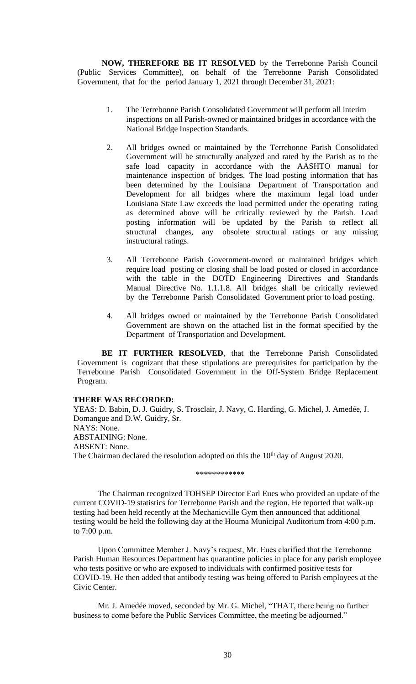**NOW, THEREFORE BE IT RESOLVED** by the Terrebonne Parish Council (Public Services Committee), on behalf of the Terrebonne Parish Consolidated Government, that for the period January 1, 2021 through December 31, 2021:

- 1. The Terrebonne Parish Consolidated Government will perform all interim inspections on all Parish-owned or maintained bridges in accordance with the National Bridge Inspection Standards.
- 2. All bridges owned or maintained by the Terrebonne Parish Consolidated Government will be structurally analyzed and rated by the Parish as to the safe load capacity in accordance with the AASHTO manual for maintenance inspection of bridges. The load posting information that has been determined by the Louisiana Department of Transportation and Development for all bridges where the maximum legal load under Louisiana State Law exceeds the load permitted under the operating rating as determined above will be critically reviewed by the Parish. Load posting information will be updated by the Parish to reflect all structural changes, any obsolete structural ratings or any missing instructural ratings.
- 3. All Terrebonne Parish Government-owned or maintained bridges which require load posting or closing shall be load posted or closed in accordance with the table in the DOTD Engineering Directives and Standards Manual Directive No. 1.1.1.8. All bridges shall be critically reviewed by the Terrebonne Parish Consolidated Government prior to load posting.
- 4. All bridges owned or maintained by the Terrebonne Parish Consolidated Government are shown on the attached list in the format specified by the Department of Transportation and Development.

**BE IT FURTHER RESOLVED**, that the Terrebonne Parish Consolidated Government is cognizant that these stipulations are prerequisites for participation by the Terrebonne Parish Consolidated Government in the Off-System Bridge Replacement Program.

## **THERE WAS RECORDED:**

YEAS: D. Babin, D. J. Guidry, S. Trosclair, J. Navy, C. Harding, G. Michel, J. Amedée, J. Domangue and D.W. Guidry, Sr. NAYS: None. ABSTAINING: None. ABSENT: None. The Chairman declared the resolution adopted on this the  $10<sup>th</sup>$  day of August 2020.

\*\*\*\*\*\*\*\*\*\*\*

The Chairman recognized TOHSEP Director Earl Eues who provided an update of the current COVID-19 statistics for Terrebonne Parish and the region. He reported that walk-up testing had been held recently at the Mechanicville Gym then announced that additional testing would be held the following day at the Houma Municipal Auditorium from 4:00 p.m. to 7:00 p.m.

Upon Committee Member J. Navy's request, Mr. Eues clarified that the Terrebonne Parish Human Resources Department has quarantine policies in place for any parish employee who tests positive or who are exposed to individuals with confirmed positive tests for COVID-19. He then added that antibody testing was being offered to Parish employees at the Civic Center.

Mr. J. Amedée moved, seconded by Mr. G. Michel, "THAT, there being no further business to come before the Public Services Committee, the meeting be adjourned."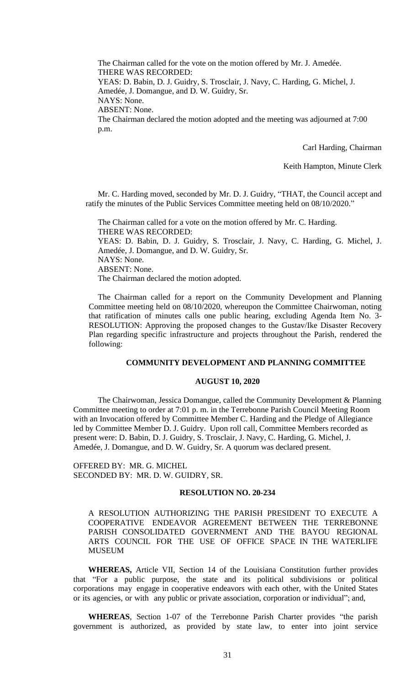The Chairman called for the vote on the motion offered by Mr. J. Amedée. THERE WAS RECORDED: YEAS: D. Babin, D. J. Guidry, S. Trosclair, J. Navy, C. Harding, G. Michel, J.

Amedée, J. Domangue, and D. W. Guidry, Sr.

NAYS: None.

ABSENT: None.

The Chairman declared the motion adopted and the meeting was adjourned at 7:00 p.m.

Carl Harding, Chairman

Keith Hampton, Minute Clerk

Mr. C. Harding moved, seconded by Mr. D. J. Guidry, "THAT, the Council accept and ratify the minutes of the Public Services Committee meeting held on 08/10/2020."

The Chairman called for a vote on the motion offered by Mr. C. Harding. THERE WAS RECORDED: YEAS: D. Babin, D. J. Guidry, S. Trosclair, J. Navy, C. Harding, G. Michel, J. Amedée, J. Domangue, and D. W. Guidry, Sr. NAYS: None. ABSENT: None. The Chairman declared the motion adopted.

The Chairman called for a report on the Community Development and Planning Committee meeting held on 08/10/2020, whereupon the Committee Chairwoman, noting that ratification of minutes calls one public hearing, excluding Agenda Item No. 3- RESOLUTION: Approving the proposed changes to the Gustav/Ike Disaster Recovery Plan regarding specific infrastructure and projects throughout the Parish, rendered the following:

# **COMMUNITY DEVELOPMENT AND PLANNING COMMITTEE**

## **AUGUST 10, 2020**

The Chairwoman, Jessica Domangue, called the Community Development & Planning Committee meeting to order at 7:01 p. m. in the Terrebonne Parish Council Meeting Room with an Invocation offered by Committee Member C. Harding and the Pledge of Allegiance led by Committee Member D. J. Guidry. Upon roll call, Committee Members recorded as present were: D. Babin, D. J. Guidry, S. Trosclair, J. Navy, C. Harding, G. Michel, J. Amedée, J. Domangue, and D. W. Guidry, Sr. A quorum was declared present.

OFFERED BY: MR. G. MICHEL SECONDED BY: MR. D. W. GUIDRY, SR.

# **RESOLUTION NO. 20-234**

A RESOLUTION AUTHORIZING THE PARISH PRESIDENT TO EXECUTE A COOPERATIVE ENDEAVOR AGREEMENT BETWEEN THE TERREBONNE PARISH CONSOLIDATED GOVERNMENT AND THE BAYOU REGIONAL ARTS COUNCIL FOR THE USE OF OFFICE SPACE IN THE WATERLIFE MUSEUM

**WHEREAS,** Article VII, Section 14 of the Louisiana Constitution further provides that "For a public purpose, the state and its political subdivisions or political corporations may engage in cooperative endeavors with each other, with the United States or its agencies, or with any public or private association, corporation or individual"; and,

**WHEREAS**, Section 1-07 of the Terrebonne Parish Charter provides "the parish government is authorized, as provided by state law, to enter into joint service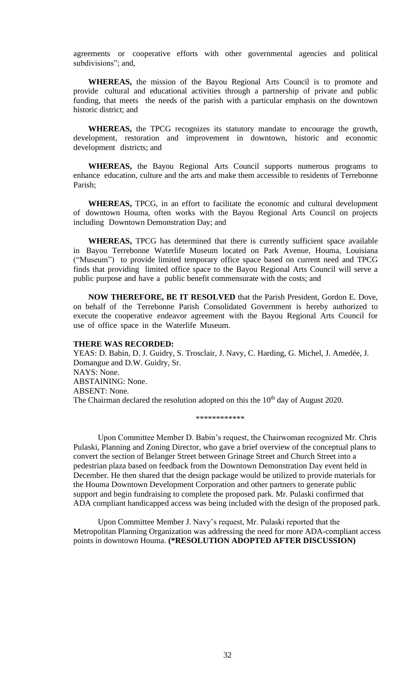agreements or cooperative efforts with other governmental agencies and political subdivisions"; and,

**WHEREAS,** the mission of the Bayou Regional Arts Council is to promote and provide cultural and educational activities through a partnership of private and public funding, that meets the needs of the parish with a particular emphasis on the downtown historic district; and

**WHEREAS,** the TPCG recognizes its statutory mandate to encourage the growth, development, restoration and improvement in downtown, historic and economic development districts; and

**WHEREAS,** the Bayou Regional Arts Council supports numerous programs to enhance education, culture and the arts and make them accessible to residents of Terrebonne Parish;

**WHEREAS,** TPCG, in an effort to facilitate the economic and cultural development of downtown Houma, often works with the Bayou Regional Arts Council on projects including Downtown Demonstration Day; and

**WHEREAS,** TPCG has determined that there is currently sufficient space available in Bayou Terrebonne Waterlife Museum located on Park Avenue, Houma, Louisiana ("Museum") to provide limited temporary office space based on current need and TPCG finds that providing limited office space to the Bayou Regional Arts Council will serve a public purpose and have a public benefit commensurate with the costs; and

**NOW THEREFORE, BE IT RESOLVED** that the Parish President, Gordon E. Dove, on behalf of the Terrebonne Parish Consolidated Government is hereby authorized to execute the cooperative endeavor agreement with the Bayou Regional Arts Council for use of office space in the Waterlife Museum.

#### **THERE WAS RECORDED:**

YEAS: D. Babin, D. J. Guidry, S. Trosclair, J. Navy, C. Harding, G. Michel, J. Amedée, J. Domangue and D.W. Guidry, Sr. NAYS: None. ABSTAINING: None. ABSENT: None. The Chairman declared the resolution adopted on this the 10<sup>th</sup> day of August 2020.

\*\*\*\*\*\*\*\*\*\*\*\*

Upon Committee Member D. Babin's request, the Chairwoman recognized Mr. Chris Pulaski, Planning and Zoning Director, who gave a brief overview of the conceptual plans to convert the section of Belanger Street between Grinage Street and Church Street into a pedestrian plaza based on feedback from the Downtown Demonstration Day event held in December. He then shared that the design package would be utilized to provide materials for the Houma Downtown Development Corporation and other partners to generate public support and begin fundraising to complete the proposed park. Mr. Pulaski confirmed that ADA compliant handicapped access was being included with the design of the proposed park.

Upon Committee Member J. Navy's request, Mr. Pulaski reported that the Metropolitan Planning Organization was addressing the need for more ADA-compliant access points in downtown Houma. **(\*RESOLUTION ADOPTED AFTER DISCUSSION)**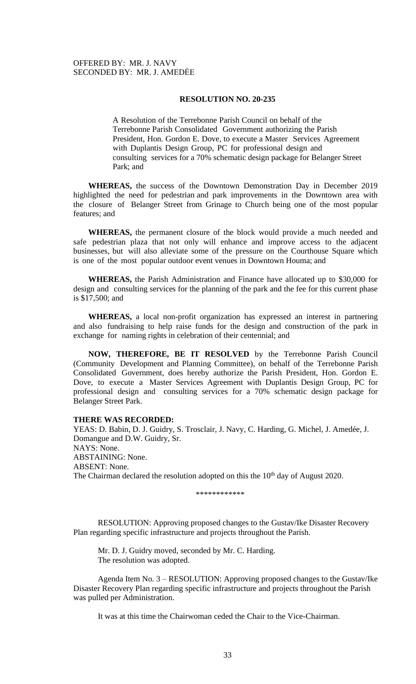## **RESOLUTION NO. 20-235**

A Resolution of the Terrebonne Parish Council on behalf of the Terrebonne Parish Consolidated Government authorizing the Parish President, Hon. Gordon E. Dove, to execute a Master Services Agreement with Duplantis Design Group, PC for professional design and consulting services for a 70% schematic design package for Belanger Street Park; and

**WHEREAS,** the success of the Downtown Demonstration Day in December 2019 highlighted the need for pedestrian and park improvements in the Downtown area with the closure of Belanger Street from Grinage to Church being one of the most popular features; and

**WHEREAS,** the permanent closure of the block would provide a much needed and safe pedestrian plaza that not only will enhance and improve access to the adjacent businesses, but will also alleviate some of the pressure on the Courthouse Square which is one of the most popular outdoor event venues in Downtown Houma; and

**WHEREAS,** the Parish Administration and Finance have allocated up to \$30,000 for design and consulting services for the planning of the park and the fee for this current phase is \$17,500; and

**WHEREAS,** a local non-profit organization has expressed an interest in partnering and also fundraising to help raise funds for the design and construction of the park in exchange for naming rights in celebration of their centennial; and

**NOW, THEREFORE, BE IT RESOLVED** by the Terrebonne Parish Council (Community Development and Planning Committee), on behalf of the Terrebonne Parish Consolidated Government, does hereby authorize the Parish President, Hon. Gordon E. Dove, to execute a Master Services Agreement with Duplantis Design Group, PC for professional design and consulting services for a 70% schematic design package for Belanger Street Park.

### **THERE WAS RECORDED:**

YEAS: D. Babin, D. J. Guidry, S. Trosclair, J. Navy, C. Harding, G. Michel, J. Amedée, J. Domangue and D.W. Guidry, Sr. NAYS: None. ABSTAINING: None. ABSENT: None. The Chairman declared the resolution adopted on this the 10<sup>th</sup> day of August 2020.

\*\*\*\*\*\*\*\*\*\*\*\*

RESOLUTION: Approving proposed changes to the Gustav/Ike Disaster Recovery Plan regarding specific infrastructure and projects throughout the Parish.

Mr. D. J. Guidry moved, seconded by Mr. C. Harding. The resolution was adopted.

Agenda Item No. 3 – RESOLUTION: Approving proposed changes to the Gustav/Ike Disaster Recovery Plan regarding specific infrastructure and projects throughout the Parish was pulled per Administration.

It was at this time the Chairwoman ceded the Chair to the Vice-Chairman.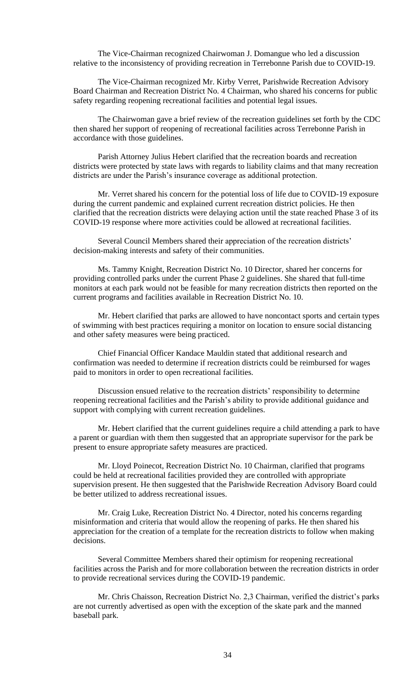The Vice-Chairman recognized Chairwoman J. Domangue who led a discussion relative to the inconsistency of providing recreation in Terrebonne Parish due to COVID-19.

The Vice-Chairman recognized Mr. Kirby Verret, Parishwide Recreation Advisory Board Chairman and Recreation District No. 4 Chairman, who shared his concerns for public safety regarding reopening recreational facilities and potential legal issues.

The Chairwoman gave a brief review of the recreation guidelines set forth by the CDC then shared her support of reopening of recreational facilities across Terrebonne Parish in accordance with those guidelines.

Parish Attorney Julius Hebert clarified that the recreation boards and recreation districts were protected by state laws with regards to liability claims and that many recreation districts are under the Parish's insurance coverage as additional protection.

Mr. Verret shared his concern for the potential loss of life due to COVID-19 exposure during the current pandemic and explained current recreation district policies. He then clarified that the recreation districts were delaying action until the state reached Phase 3 of its COVID-19 response where more activities could be allowed at recreational facilities.

Several Council Members shared their appreciation of the recreation districts' decision-making interests and safety of their communities.

Ms. Tammy Knight, Recreation District No. 10 Director, shared her concerns for providing controlled parks under the current Phase 2 guidelines. She shared that full-time monitors at each park would not be feasible for many recreation districts then reported on the current programs and facilities available in Recreation District No. 10.

Mr. Hebert clarified that parks are allowed to have noncontact sports and certain types of swimming with best practices requiring a monitor on location to ensure social distancing and other safety measures were being practiced.

Chief Financial Officer Kandace Mauldin stated that additional research and confirmation was needed to determine if recreation districts could be reimbursed for wages paid to monitors in order to open recreational facilities.

Discussion ensued relative to the recreation districts' responsibility to determine reopening recreational facilities and the Parish's ability to provide additional guidance and support with complying with current recreation guidelines.

Mr. Hebert clarified that the current guidelines require a child attending a park to have a parent or guardian with them then suggested that an appropriate supervisor for the park be present to ensure appropriate safety measures are practiced.

Mr. Lloyd Poinecot, Recreation District No. 10 Chairman, clarified that programs could be held at recreational facilities provided they are controlled with appropriate supervision present. He then suggested that the Parishwide Recreation Advisory Board could be better utilized to address recreational issues.

Mr. Craig Luke, Recreation District No. 4 Director, noted his concerns regarding misinformation and criteria that would allow the reopening of parks. He then shared his appreciation for the creation of a template for the recreation districts to follow when making decisions.

Several Committee Members shared their optimism for reopening recreational facilities across the Parish and for more collaboration between the recreation districts in order to provide recreational services during the COVID-19 pandemic.

Mr. Chris Chaisson, Recreation District No. 2,3 Chairman, verified the district's parks are not currently advertised as open with the exception of the skate park and the manned baseball park.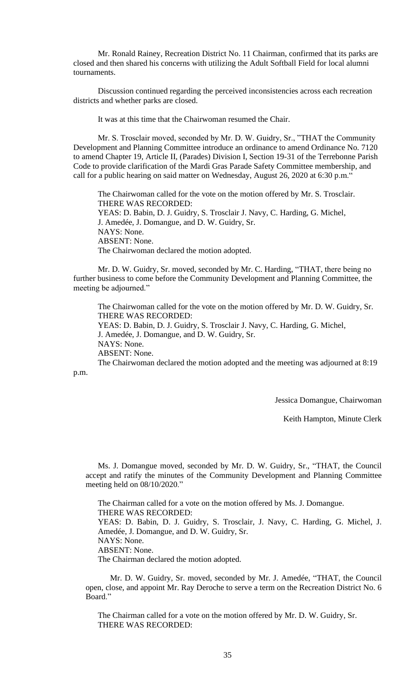Mr. Ronald Rainey, Recreation District No. 11 Chairman, confirmed that its parks are closed and then shared his concerns with utilizing the Adult Softball Field for local alumni tournaments.

Discussion continued regarding the perceived inconsistencies across each recreation districts and whether parks are closed.

It was at this time that the Chairwoman resumed the Chair.

Mr. S. Trosclair moved, seconded by Mr. D. W. Guidry, Sr., "THAT the Community Development and Planning Committee introduce an ordinance to amend Ordinance No. 7120 to amend Chapter 19, Article II, (Parades) Division I, Section 19-31 of the Terrebonne Parish Code to provide clarification of the Mardi Gras Parade Safety Committee membership, and call for a public hearing on said matter on Wednesday, August 26, 2020 at 6:30 p.m.<sup>"</sup>

The Chairwoman called for the vote on the motion offered by Mr. S. Trosclair. THERE WAS RECORDED: YEAS: D. Babin, D. J. Guidry, S. Trosclair J. Navy, C. Harding, G. Michel, J. Amedée, J. Domangue, and D. W. Guidry, Sr. NAYS: None. ABSENT: None. The Chairwoman declared the motion adopted.

Mr. D. W. Guidry, Sr. moved, seconded by Mr. C. Harding, "THAT, there being no further business to come before the Community Development and Planning Committee, the meeting be adjourned."

The Chairwoman called for the vote on the motion offered by Mr. D. W. Guidry, Sr. THERE WAS RECORDED: YEAS: D. Babin, D. J. Guidry, S. Trosclair J. Navy, C. Harding, G. Michel,

J. Amedée, J. Domangue, and D. W. Guidry, Sr. NAYS: None. ABSENT: None.

The Chairwoman declared the motion adopted and the meeting was adjourned at 8:19 p.m.

Jessica Domangue, Chairwoman

Keith Hampton, Minute Clerk

Ms. J. Domangue moved, seconded by Mr. D. W. Guidry, Sr., "THAT, the Council accept and ratify the minutes of the Community Development and Planning Committee meeting held on 08/10/2020."

The Chairman called for a vote on the motion offered by Ms. J. Domangue. THERE WAS RECORDED: YEAS: D. Babin, D. J. Guidry, S. Trosclair, J. Navy, C. Harding, G. Michel, J. Amedée, J. Domangue, and D. W. Guidry, Sr. NAYS: None. ABSENT: None. The Chairman declared the motion adopted.

Mr. D. W. Guidry, Sr. moved, seconded by Mr. J. Amedée, "THAT, the Council open, close, and appoint Mr. Ray Deroche to serve a term on the Recreation District No. 6 Board."

The Chairman called for a vote on the motion offered by Mr. D. W. Guidry, Sr. THERE WAS RECORDED: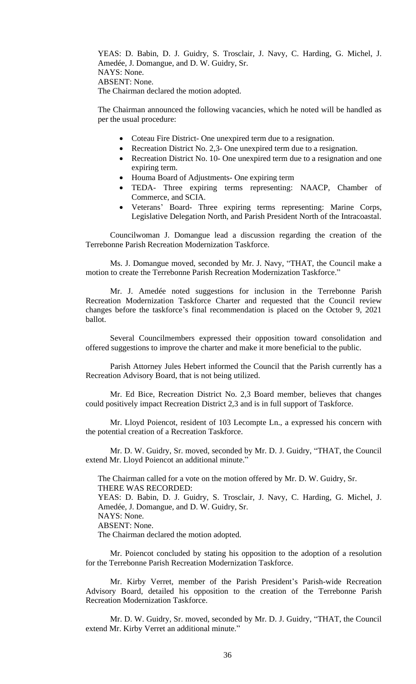YEAS: D. Babin, D. J. Guidry, S. Trosclair, J. Navy, C. Harding, G. Michel, J. Amedée, J. Domangue, and D. W. Guidry, Sr. NAYS: None. ABSENT: None. The Chairman declared the motion adopted.

The Chairman announced the following vacancies, which he noted will be handled as per the usual procedure:

- Coteau Fire District- One unexpired term due to a resignation.
- Recreation District No. 2,3- One unexpired term due to a resignation.
- Recreation District No. 10- One unexpired term due to a resignation and one expiring term.
- Houma Board of Adjustments- One expiring term
- TEDA- Three expiring terms representing: NAACP, Chamber of Commerce, and SCIA.
- Veterans' Board- Three expiring terms representing: Marine Corps, Legislative Delegation North, and Parish President North of the Intracoastal.

Councilwoman J. Domangue lead a discussion regarding the creation of the Terrebonne Parish Recreation Modernization Taskforce.

Ms. J. Domangue moved, seconded by Mr. J. Navy, "THAT, the Council make a motion to create the Terrebonne Parish Recreation Modernization Taskforce."

Mr. J. Amedée noted suggestions for inclusion in the Terrebonne Parish Recreation Modernization Taskforce Charter and requested that the Council review changes before the taskforce's final recommendation is placed on the October 9, 2021 ballot.

Several Councilmembers expressed their opposition toward consolidation and offered suggestions to improve the charter and make it more beneficial to the public.

Parish Attorney Jules Hebert informed the Council that the Parish currently has a Recreation Advisory Board, that is not being utilized.

Mr. Ed Bice, Recreation District No. 2,3 Board member, believes that changes could positively impact Recreation District 2,3 and is in full support of Taskforce.

Mr. Lloyd Poiencot, resident of 103 Lecompte Ln., a expressed his concern with the potential creation of a Recreation Taskforce.

Mr. D. W. Guidry, Sr. moved, seconded by Mr. D. J. Guidry, "THAT, the Council extend Mr. Lloyd Poiencot an additional minute."

The Chairman called for a vote on the motion offered by Mr. D. W. Guidry, Sr. THERE WAS RECORDED: YEAS: D. Babin, D. J. Guidry, S. Trosclair, J. Navy, C. Harding, G. Michel, J.

Amedée, J. Domangue, and D. W. Guidry, Sr.

NAYS: None.

ABSENT: None.

The Chairman declared the motion adopted.

Mr. Poiencot concluded by stating his opposition to the adoption of a resolution for the Terrebonne Parish Recreation Modernization Taskforce.

Mr. Kirby Verret, member of the Parish President's Parish-wide Recreation Advisory Board, detailed his opposition to the creation of the Terrebonne Parish Recreation Modernization Taskforce.

Mr. D. W. Guidry, Sr. moved, seconded by Mr. D. J. Guidry, "THAT, the Council extend Mr. Kirby Verret an additional minute."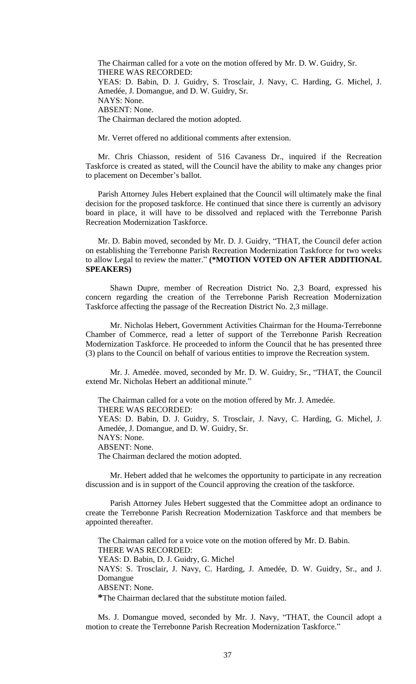The Chairman called for a vote on the motion offered by Mr. D. W. Guidry, Sr. THERE WAS RECORDED: YEAS: D. Babin, D. J. Guidry, S. Trosclair, J. Navy, C. Harding, G. Michel, J. Amedée, J. Domangue, and D. W. Guidry, Sr. NAYS: None. ABSENT: None. The Chairman declared the motion adopted.

Mr. Verret offered no additional comments after extension.

Mr. Chris Chiasson, resident of 516 Cavaness Dr., inquired if the Recreation Taskforce is created as stated, will the Council have the ability to make any changes prior to placement on December's ballot.

Parish Attorney Jules Hebert explained that the Council will ultimately make the final decision for the proposed taskforce. He continued that since there is currently an advisory board in place, it will have to be dissolved and replaced with the Terrebonne Parish Recreation Modernization Taskforce.

Mr. D. Babin moved, seconded by Mr. D. J. Guidry, "THAT, the Council defer action on establishing the Terrebonne Parish Recreation Modernization Taskforce for two weeks to allow Legal to review the matter." **(\*MOTION VOTED ON AFTER ADDITIONAL SPEAKERS)**

Shawn Dupre, member of Recreation District No. 2,3 Board, expressed his concern regarding the creation of the Terrebonne Parish Recreation Modernization Taskforce affecting the passage of the Recreation District No. 2,3 millage.

Mr. Nicholas Hebert, Government Activities Chairman for the Houma-Terrebonne Chamber of Commerce, read a letter of support of the Terrebonne Parish Recreation Modernization Taskforce. He proceeded to inform the Council that he has presented three (3) plans to the Council on behalf of various entities to improve the Recreation system.

Mr. J. Amedée. moved, seconded by Mr. D. W. Guidry, Sr., "THAT, the Council extend Mr. Nicholas Hebert an additional minute."

The Chairman called for a vote on the motion offered by Mr. J. Amedée. THERE WAS RECORDED: YEAS: D. Babin, D. J. Guidry, S. Trosclair, J. Navy, C. Harding, G. Michel, J. Amedée, J. Domangue, and D. W. Guidry, Sr. NAYS: None. ABSENT: None. The Chairman declared the motion adopted.

Mr. Hebert added that he welcomes the opportunity to participate in any recreation discussion and is in support of the Council approving the creation of the taskforce.

Parish Attorney Jules Hebert suggested that the Committee adopt an ordinance to create the Terrebonne Parish Recreation Modernization Taskforce and that members be appointed thereafter.

The Chairman called for a voice vote on the motion offered by Mr. D. Babin. THERE WAS RECORDED: YEAS: D. Babin, D. J. Guidry, G. Michel NAYS: S. Trosclair, J. Navy, C. Harding, J. Amedée, D. W. Guidry, Sr., and J. Domangue ABSENT: None. **\***The Chairman declared that the substitute motion failed.

Ms. J. Domangue moved, seconded by Mr. J. Navy, "THAT, the Council adopt a motion to create the Terrebonne Parish Recreation Modernization Taskforce."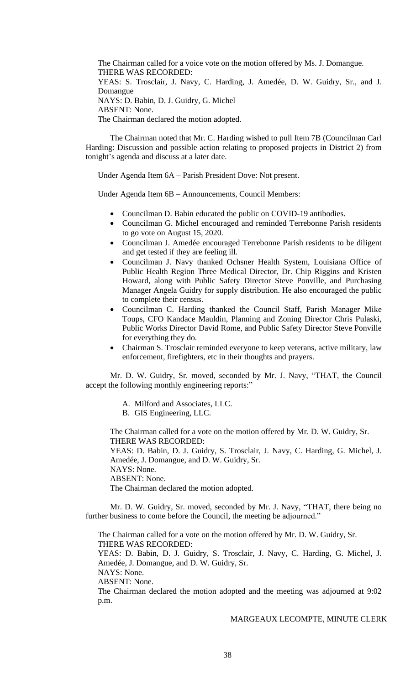The Chairman called for a voice vote on the motion offered by Ms. J. Domangue. THERE WAS RECORDED: YEAS: S. Trosclair, J. Navy, C. Harding, J. Amedée, D. W. Guidry, Sr., and J. Domangue NAYS: D. Babin, D. J. Guidry, G. Michel ABSENT: None. The Chairman declared the motion adopted.

The Chairman noted that Mr. C. Harding wished to pull Item 7B (Councilman Carl Harding: Discussion and possible action relating to proposed projects in District 2) from tonight's agenda and discuss at a later date.

Under Agenda Item 6A – Parish President Dove: Not present.

Under Agenda Item 6B – Announcements, Council Members:

- Councilman D. Babin educated the public on COVID-19 antibodies.
- Councilman G. Michel encouraged and reminded Terrebonne Parish residents to go vote on August 15, 2020.
- Councilman J. Amedée encouraged Terrebonne Parish residents to be diligent and get tested if they are feeling ill.
- Councilman J. Navy thanked Ochsner Health System, Louisiana Office of Public Health Region Three Medical Director, Dr. Chip Riggins and Kristen Howard, along with Public Safety Director Steve Ponville, and Purchasing Manager Angela Guidry for supply distribution. He also encouraged the public to complete their census.
- Councilman C. Harding thanked the Council Staff, Parish Manager Mike Toups, CFO Kandace Mauldin, Planning and Zoning Director Chris Pulaski, Public Works Director David Rome, and Public Safety Director Steve Ponville for everything they do.
- Chairman S. Trosclair reminded everyone to keep veterans, active military, law enforcement, firefighters, etc in their thoughts and prayers.

Mr. D. W. Guidry, Sr. moved, seconded by Mr. J. Navy, "THAT, the Council accept the following monthly engineering reports:"

A. Milford and Associates, LLC.

B. GIS Engineering, LLC.

The Chairman called for a vote on the motion offered by Mr. D. W. Guidry, Sr. THERE WAS RECORDED:

YEAS: D. Babin, D. J. Guidry, S. Trosclair, J. Navy, C. Harding, G. Michel, J. Amedée, J. Domangue, and D. W. Guidry, Sr.

NAYS: None.

ABSENT: None.

The Chairman declared the motion adopted.

Mr. D. W. Guidry, Sr. moved, seconded by Mr. J. Navy, "THAT, there being no further business to come before the Council, the meeting be adjourned."

The Chairman called for a vote on the motion offered by Mr. D. W. Guidry, Sr. THERE WAS RECORDED:

YEAS: D. Babin, D. J. Guidry, S. Trosclair, J. Navy, C. Harding, G. Michel, J. Amedée, J. Domangue, and D. W. Guidry, Sr.

NAYS: None.

ABSENT: None.

The Chairman declared the motion adopted and the meeting was adjourned at 9:02 p.m.

## MARGEAUX LECOMPTE, MINUTE CLERK